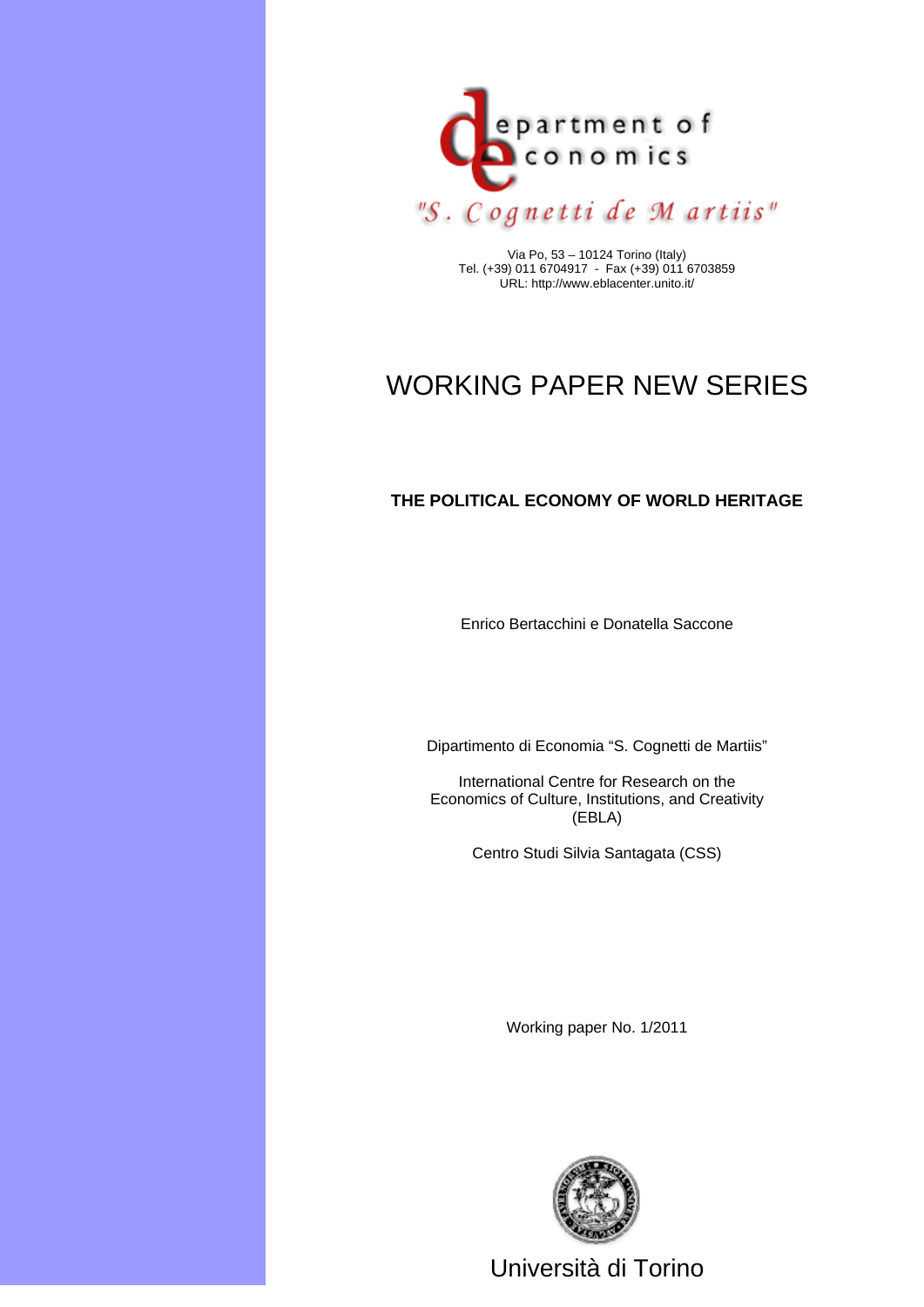

Via Po, 53 – 10124 Torino (Italy) Tel. (+39) 011 6704917 - Fax (+39) 011 6703859 URL: http://www.eblacenter.unito.it/

# WORKING PAPER NEW SERIES

#### **THE POLITICAL ECONOMY OF WORLD HERITAGE**

Enrico Bertacchini e Donatella Saccone

Dipartimento di Economia "S. Cognetti de Martiis"

International Centre for Research on the Economics of Culture, Institutions, and Creativity (EBLA)

Centro Studi Silvia Santagata (CSS)

Working paper No. 1/2011



Università di Torino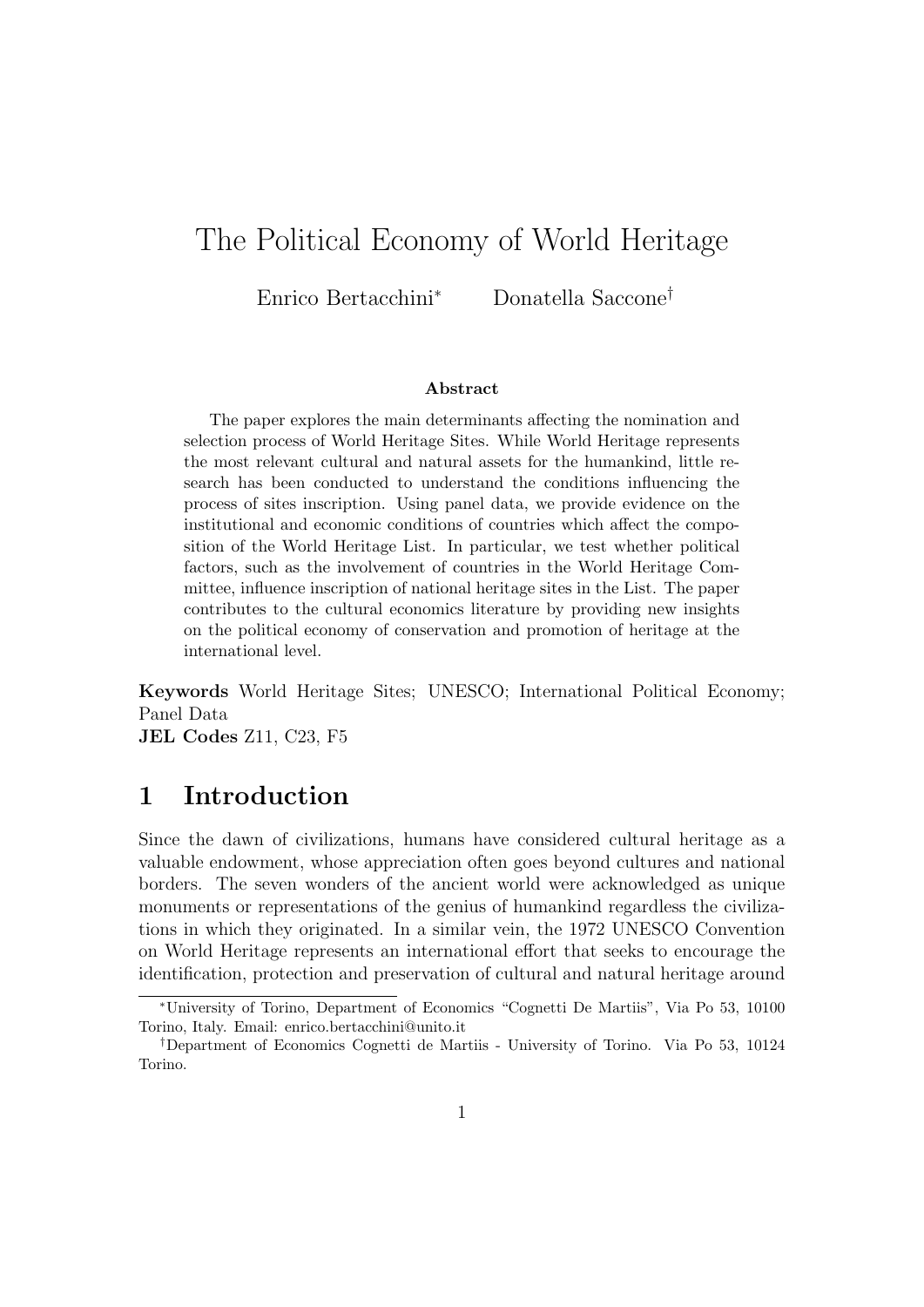# The Political Economy of World Heritage

Enrico Bertacchini<sup>∗</sup> Donatella Saccone†

#### Abstract

The paper explores the main determinants affecting the nomination and selection process of World Heritage Sites. While World Heritage represents the most relevant cultural and natural assets for the humankind, little research has been conducted to understand the conditions influencing the process of sites inscription. Using panel data, we provide evidence on the institutional and economic conditions of countries which affect the composition of the World Heritage List. In particular, we test whether political factors, such as the involvement of countries in the World Heritage Committee, influence inscription of national heritage sites in the List. The paper contributes to the cultural economics literature by providing new insights on the political economy of conservation and promotion of heritage at the international level.

Keywords World Heritage Sites; UNESCO; International Political Economy; Panel Data JEL Codes Z11, C23, F5

### 1 Introduction

Since the dawn of civilizations, humans have considered cultural heritage as a valuable endowment, whose appreciation often goes beyond cultures and national borders. The seven wonders of the ancient world were acknowledged as unique monuments or representations of the genius of humankind regardless the civilizations in which they originated. In a similar vein, the 1972 UNESCO Convention on World Heritage represents an international effort that seeks to encourage the identification, protection and preservation of cultural and natural heritage around

<sup>∗</sup>University of Torino, Department of Economics "Cognetti De Martiis", Via Po 53, 10100 Torino, Italy. Email: enrico.bertacchini@unito.it

<sup>†</sup>Department of Economics Cognetti de Martiis - University of Torino. Via Po 53, 10124 Torino.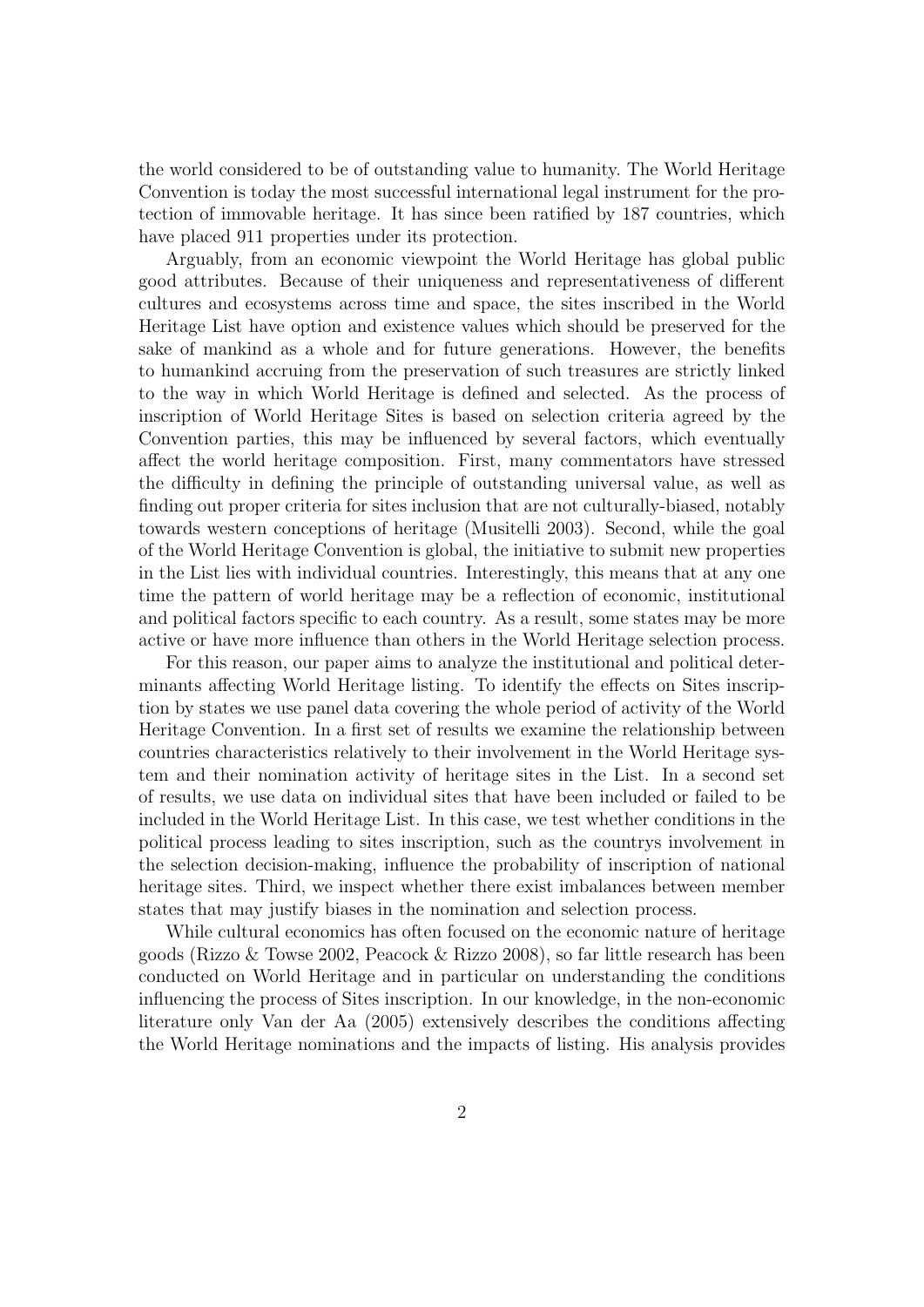the world considered to be of outstanding value to humanity. The World Heritage Convention is today the most successful international legal instrument for the protection of immovable heritage. It has since been ratified by 187 countries, which have placed 911 properties under its protection.

Arguably, from an economic viewpoint the World Heritage has global public good attributes. Because of their uniqueness and representativeness of different cultures and ecosystems across time and space, the sites inscribed in the World Heritage List have option and existence values which should be preserved for the sake of mankind as a whole and for future generations. However, the benefits to humankind accruing from the preservation of such treasures are strictly linked to the way in which World Heritage is defined and selected. As the process of inscription of World Heritage Sites is based on selection criteria agreed by the Convention parties, this may be influenced by several factors, which eventually affect the world heritage composition. First, many commentators have stressed the difficulty in defining the principle of outstanding universal value, as well as finding out proper criteria for sites inclusion that are not culturally-biased, notably towards western conceptions of heritage (Musitelli 2003). Second, while the goal of the World Heritage Convention is global, the initiative to submit new properties in the List lies with individual countries. Interestingly, this means that at any one time the pattern of world heritage may be a reflection of economic, institutional and political factors specific to each country. As a result, some states may be more active or have more influence than others in the World Heritage selection process.

For this reason, our paper aims to analyze the institutional and political determinants affecting World Heritage listing. To identify the effects on Sites inscription by states we use panel data covering the whole period of activity of the World Heritage Convention. In a first set of results we examine the relationship between countries characteristics relatively to their involvement in the World Heritage system and their nomination activity of heritage sites in the List. In a second set of results, we use data on individual sites that have been included or failed to be included in the World Heritage List. In this case, we test whether conditions in the political process leading to sites inscription, such as the countrys involvement in the selection decision-making, influence the probability of inscription of national heritage sites. Third, we inspect whether there exist imbalances between member states that may justify biases in the nomination and selection process.

While cultural economics has often focused on the economic nature of heritage goods (Rizzo & Towse 2002, Peacock & Rizzo 2008), so far little research has been conducted on World Heritage and in particular on understanding the conditions influencing the process of Sites inscription. In our knowledge, in the non-economic literature only Van der Aa (2005) extensively describes the conditions affecting the World Heritage nominations and the impacts of listing. His analysis provides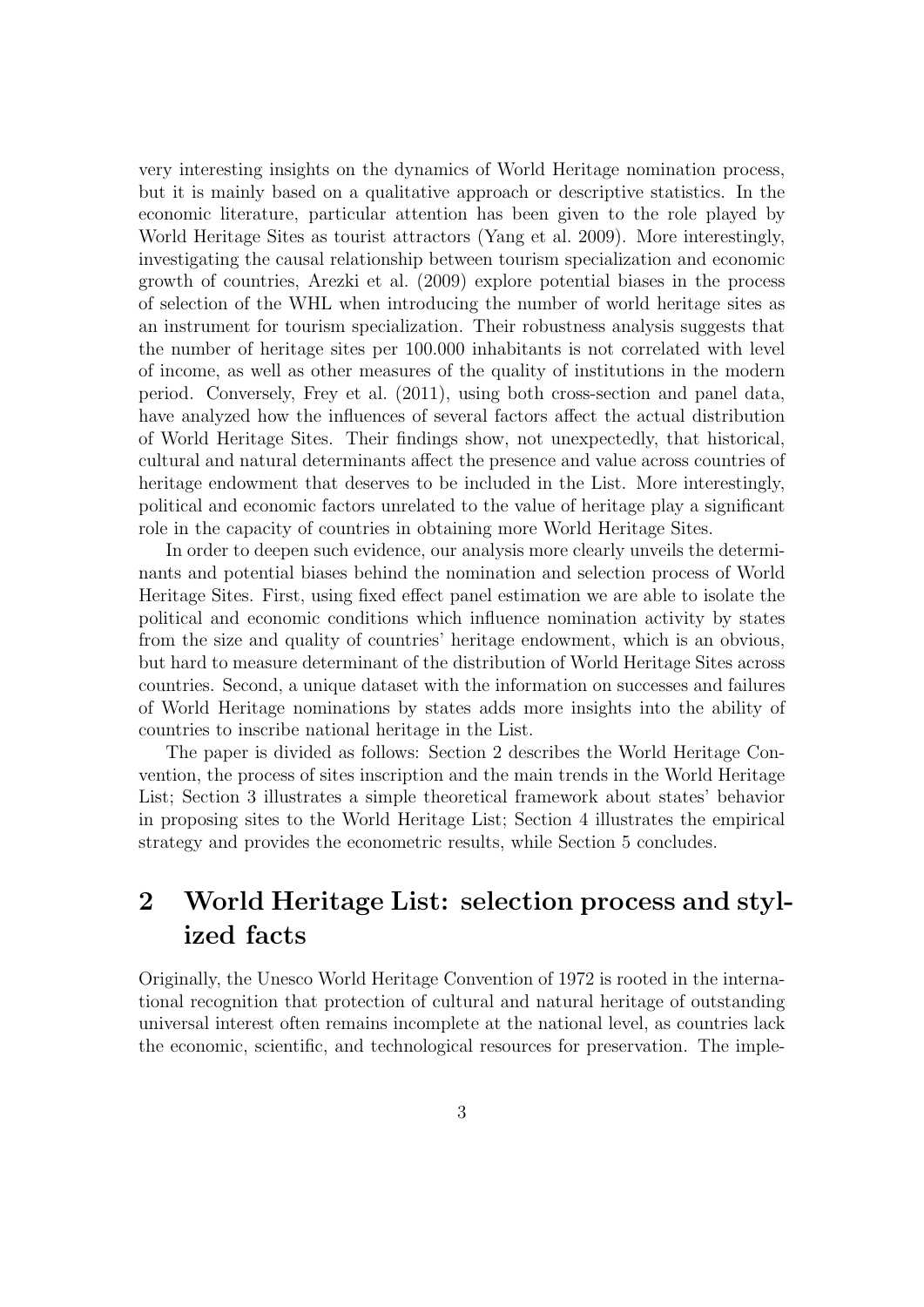very interesting insights on the dynamics of World Heritage nomination process, but it is mainly based on a qualitative approach or descriptive statistics. In the economic literature, particular attention has been given to the role played by World Heritage Sites as tourist attractors (Yang et al. 2009). More interestingly, investigating the causal relationship between tourism specialization and economic growth of countries, Arezki et al. (2009) explore potential biases in the process of selection of the WHL when introducing the number of world heritage sites as an instrument for tourism specialization. Their robustness analysis suggests that the number of heritage sites per 100.000 inhabitants is not correlated with level of income, as well as other measures of the quality of institutions in the modern period. Conversely, Frey et al. (2011), using both cross-section and panel data, have analyzed how the influences of several factors affect the actual distribution of World Heritage Sites. Their findings show, not unexpectedly, that historical, cultural and natural determinants affect the presence and value across countries of heritage endowment that deserves to be included in the List. More interestingly, political and economic factors unrelated to the value of heritage play a significant role in the capacity of countries in obtaining more World Heritage Sites.

In order to deepen such evidence, our analysis more clearly unveils the determinants and potential biases behind the nomination and selection process of World Heritage Sites. First, using fixed effect panel estimation we are able to isolate the political and economic conditions which influence nomination activity by states from the size and quality of countries' heritage endowment, which is an obvious, but hard to measure determinant of the distribution of World Heritage Sites across countries. Second, a unique dataset with the information on successes and failures of World Heritage nominations by states adds more insights into the ability of countries to inscribe national heritage in the List.

The paper is divided as follows: Section 2 describes the World Heritage Convention, the process of sites inscription and the main trends in the World Heritage List; Section 3 illustrates a simple theoretical framework about states' behavior in proposing sites to the World Heritage List; Section 4 illustrates the empirical strategy and provides the econometric results, while Section 5 concludes.

## 2 World Heritage List: selection process and stylized facts

Originally, the Unesco World Heritage Convention of 1972 is rooted in the international recognition that protection of cultural and natural heritage of outstanding universal interest often remains incomplete at the national level, as countries lack the economic, scientific, and technological resources for preservation. The imple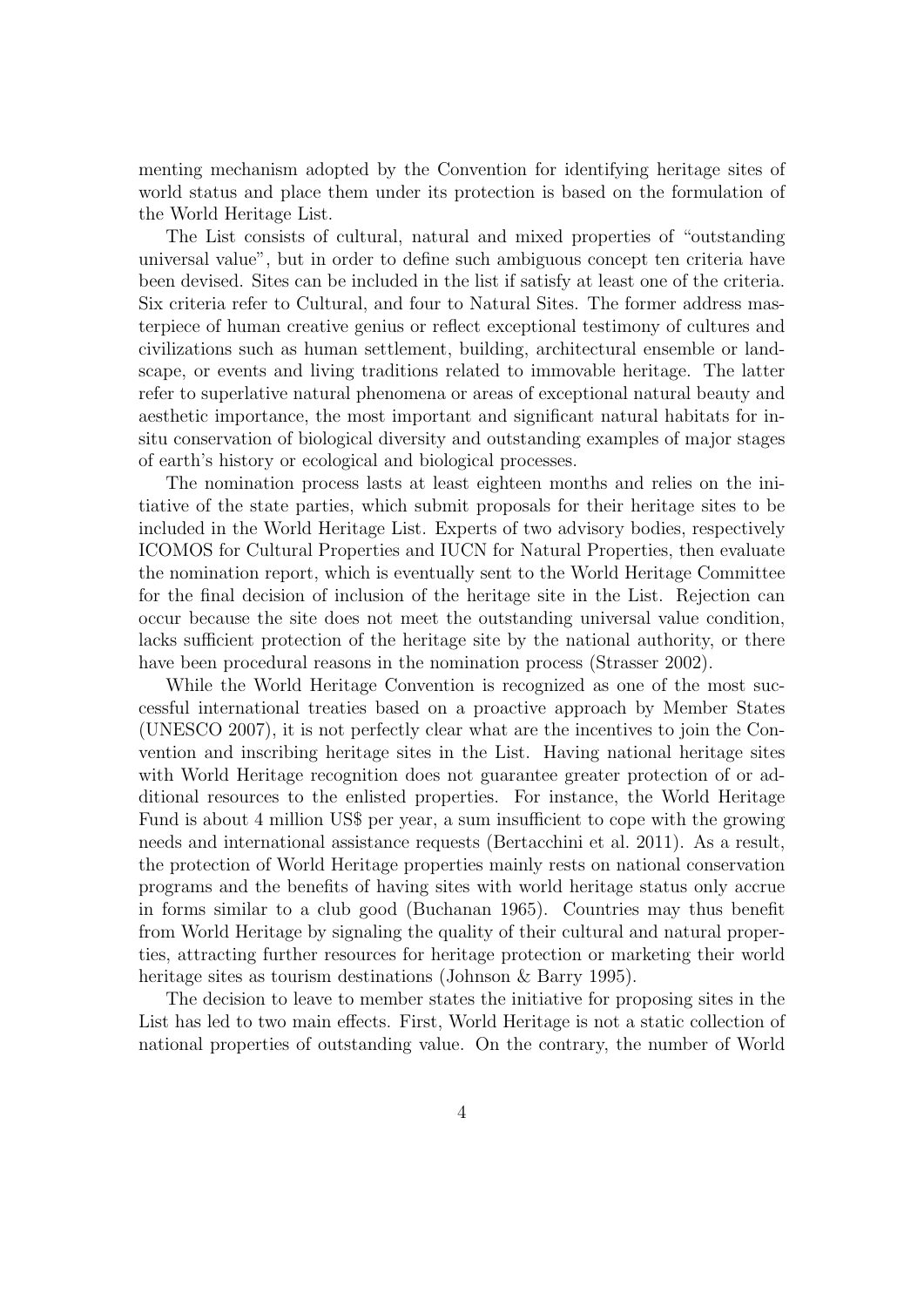menting mechanism adopted by the Convention for identifying heritage sites of world status and place them under its protection is based on the formulation of the World Heritage List.

The List consists of cultural, natural and mixed properties of "outstanding universal value", but in order to define such ambiguous concept ten criteria have been devised. Sites can be included in the list if satisfy at least one of the criteria. Six criteria refer to Cultural, and four to Natural Sites. The former address masterpiece of human creative genius or reflect exceptional testimony of cultures and civilizations such as human settlement, building, architectural ensemble or landscape, or events and living traditions related to immovable heritage. The latter refer to superlative natural phenomena or areas of exceptional natural beauty and aesthetic importance, the most important and significant natural habitats for insitu conservation of biological diversity and outstanding examples of major stages of earth's history or ecological and biological processes.

The nomination process lasts at least eighteen months and relies on the initiative of the state parties, which submit proposals for their heritage sites to be included in the World Heritage List. Experts of two advisory bodies, respectively ICOMOS for Cultural Properties and IUCN for Natural Properties, then evaluate the nomination report, which is eventually sent to the World Heritage Committee for the final decision of inclusion of the heritage site in the List. Rejection can occur because the site does not meet the outstanding universal value condition, lacks sufficient protection of the heritage site by the national authority, or there have been procedural reasons in the nomination process (Strasser 2002).

While the World Heritage Convention is recognized as one of the most successful international treaties based on a proactive approach by Member States (UNESCO 2007), it is not perfectly clear what are the incentives to join the Convention and inscribing heritage sites in the List. Having national heritage sites with World Heritage recognition does not guarantee greater protection of or additional resources to the enlisted properties. For instance, the World Heritage Fund is about 4 million US\$ per year, a sum insufficient to cope with the growing needs and international assistance requests (Bertacchini et al. 2011). As a result, the protection of World Heritage properties mainly rests on national conservation programs and the benefits of having sites with world heritage status only accrue in forms similar to a club good (Buchanan 1965). Countries may thus benefit from World Heritage by signaling the quality of their cultural and natural properties, attracting further resources for heritage protection or marketing their world heritage sites as tourism destinations (Johnson & Barry 1995).

The decision to leave to member states the initiative for proposing sites in the List has led to two main effects. First, World Heritage is not a static collection of national properties of outstanding value. On the contrary, the number of World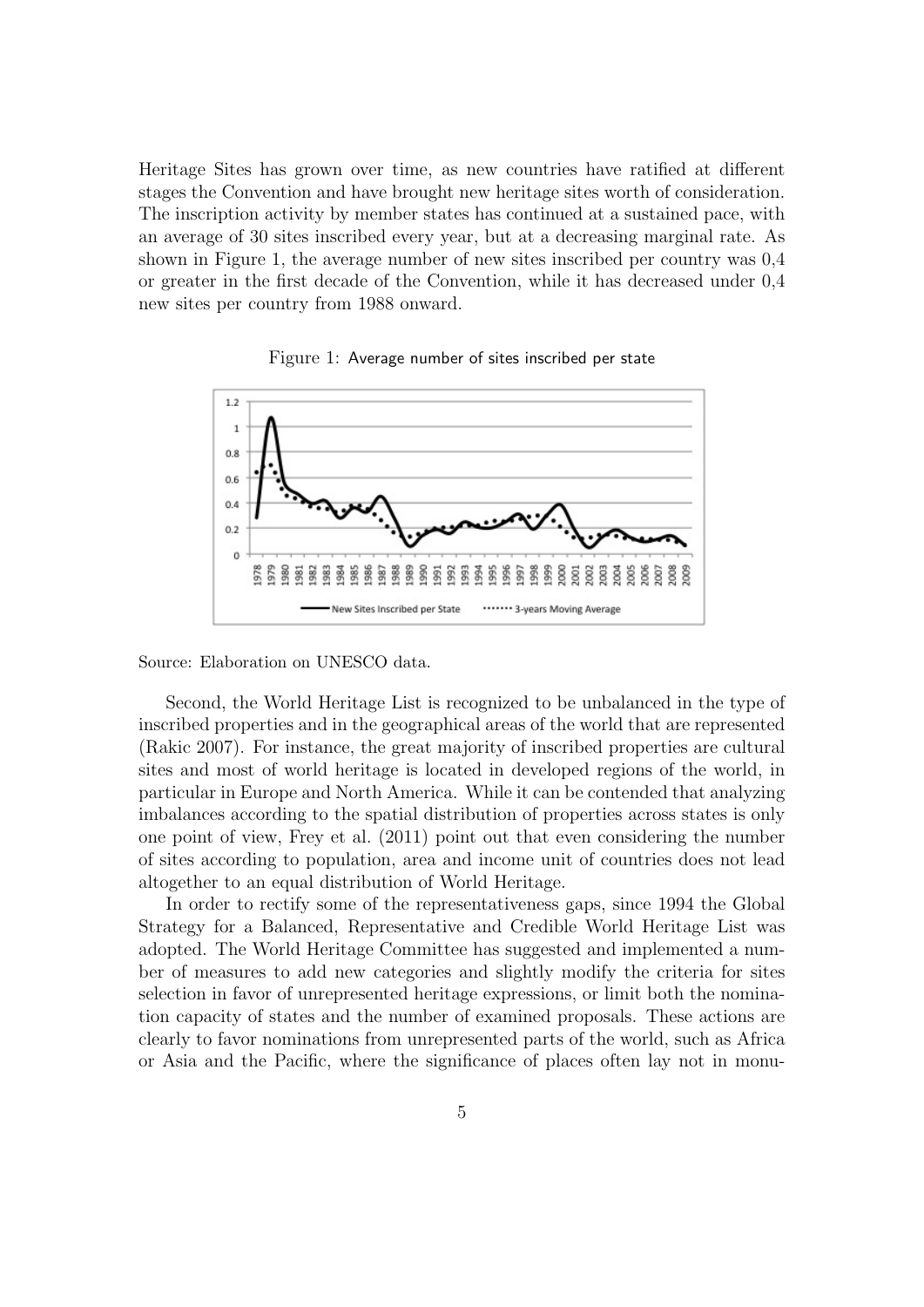Heritage Sites has grown over time, as new countries have ratified at different stages the Convention and have brought new heritage sites worth of consideration. The inscription activity by member states has continued at a sustained pace, with an average of 30 sites inscribed every year, but at a decreasing marginal rate. As shown in Figure 1, the average number of new sites inscribed per country was 0,4 or greater in the first decade of the Convention, while it has decreased under 0,4 new sites per country from 1988 onward.





Source: Elaboration on UNESCO data.

Second, the World Heritage List is recognized to be unbalanced in the type of inscribed properties and in the geographical areas of the world that are represented (Rakic 2007). For instance, the great majority of inscribed properties are cultural sites and most of world heritage is located in developed regions of the world, in particular in Europe and North America. While it can be contended that analyzing imbalances according to the spatial distribution of properties across states is only one point of view, Frey et al. (2011) point out that even considering the number of sites according to population, area and income unit of countries does not lead altogether to an equal distribution of World Heritage.

In order to rectify some of the representativeness gaps, since 1994 the Global Strategy for a Balanced, Representative and Credible World Heritage List was adopted. The World Heritage Committee has suggested and implemented a number of measures to add new categories and slightly modify the criteria for sites selection in favor of unrepresented heritage expressions, or limit both the nomination capacity of states and the number of examined proposals. These actions are clearly to favor nominations from unrepresented parts of the world, such as Africa or Asia and the Pacific, where the significance of places often lay not in monu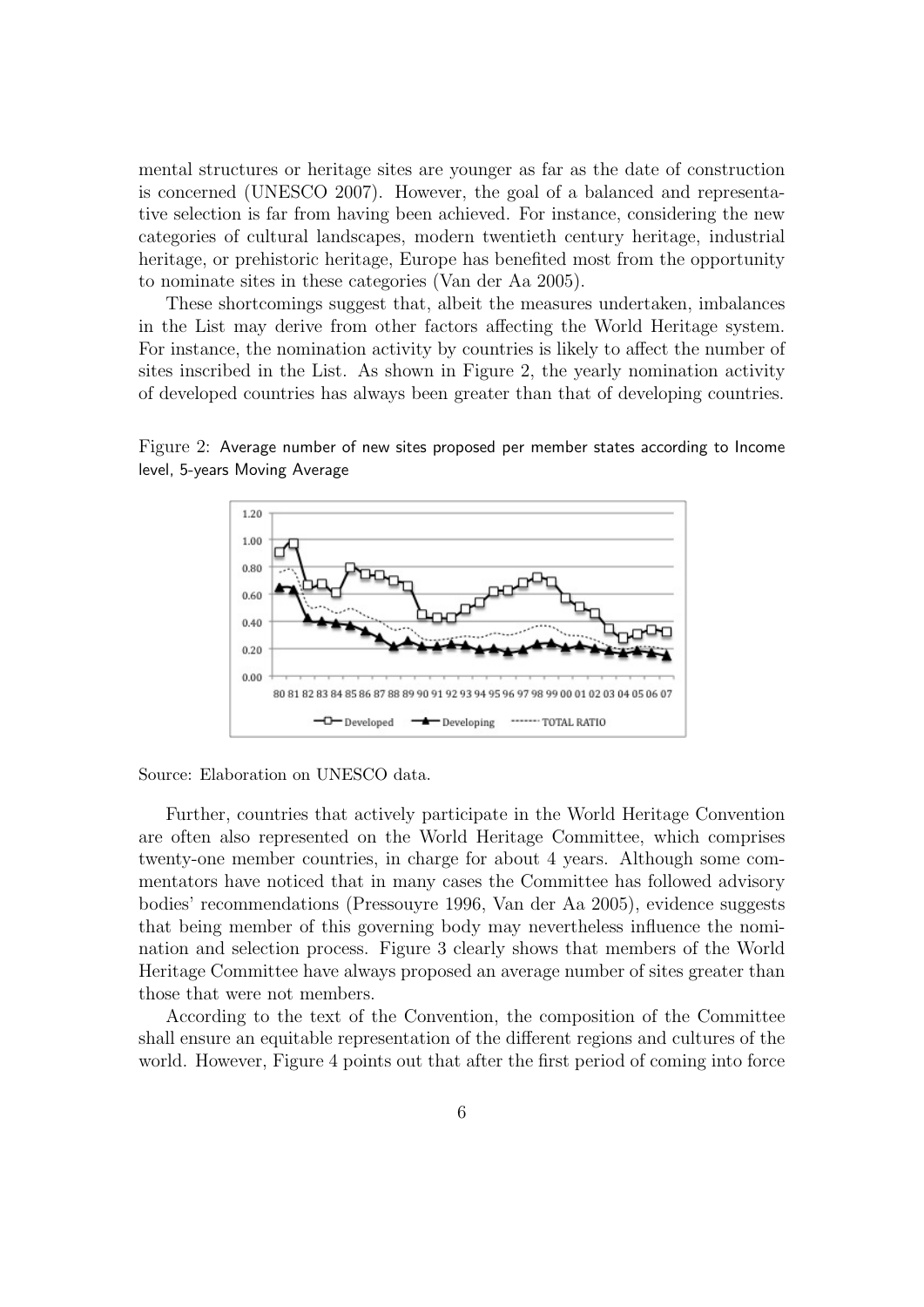mental structures or heritage sites are younger as far as the date of construction is concerned (UNESCO 2007). However, the goal of a balanced and representative selection is far from having been achieved. For instance, considering the new categories of cultural landscapes, modern twentieth century heritage, industrial heritage, or prehistoric heritage, Europe has benefited most from the opportunity to nominate sites in these categories (Van der Aa 2005).

These shortcomings suggest that, albeit the measures undertaken, imbalances in the List may derive from other factors affecting the World Heritage system. For instance, the nomination activity by countries is likely to affect the number of sites inscribed in the List. As shown in Figure 2, the yearly nomination activity of developed countries has always been greater than that of developing countries.

Figure 2: Average number of new sites proposed per member states according to Income level, 5-years Moving Average





Further, countries that actively participate in the World Heritage Convention are often also represented on the World Heritage Committee, which comprises twenty-one member countries, in charge for about 4 years. Although some commentators have noticed that in many cases the Committee has followed advisory bodies' recommendations (Pressouyre 1996, Van der Aa 2005), evidence suggests that being member of this governing body may nevertheless influence the nomination and selection process. Figure 3 clearly shows that members of the World Heritage Committee have always proposed an average number of sites greater than those that were not members.

According to the text of the Convention, the composition of the Committee shall ensure an equitable representation of the different regions and cultures of the world. However, Figure 4 points out that after the first period of coming into force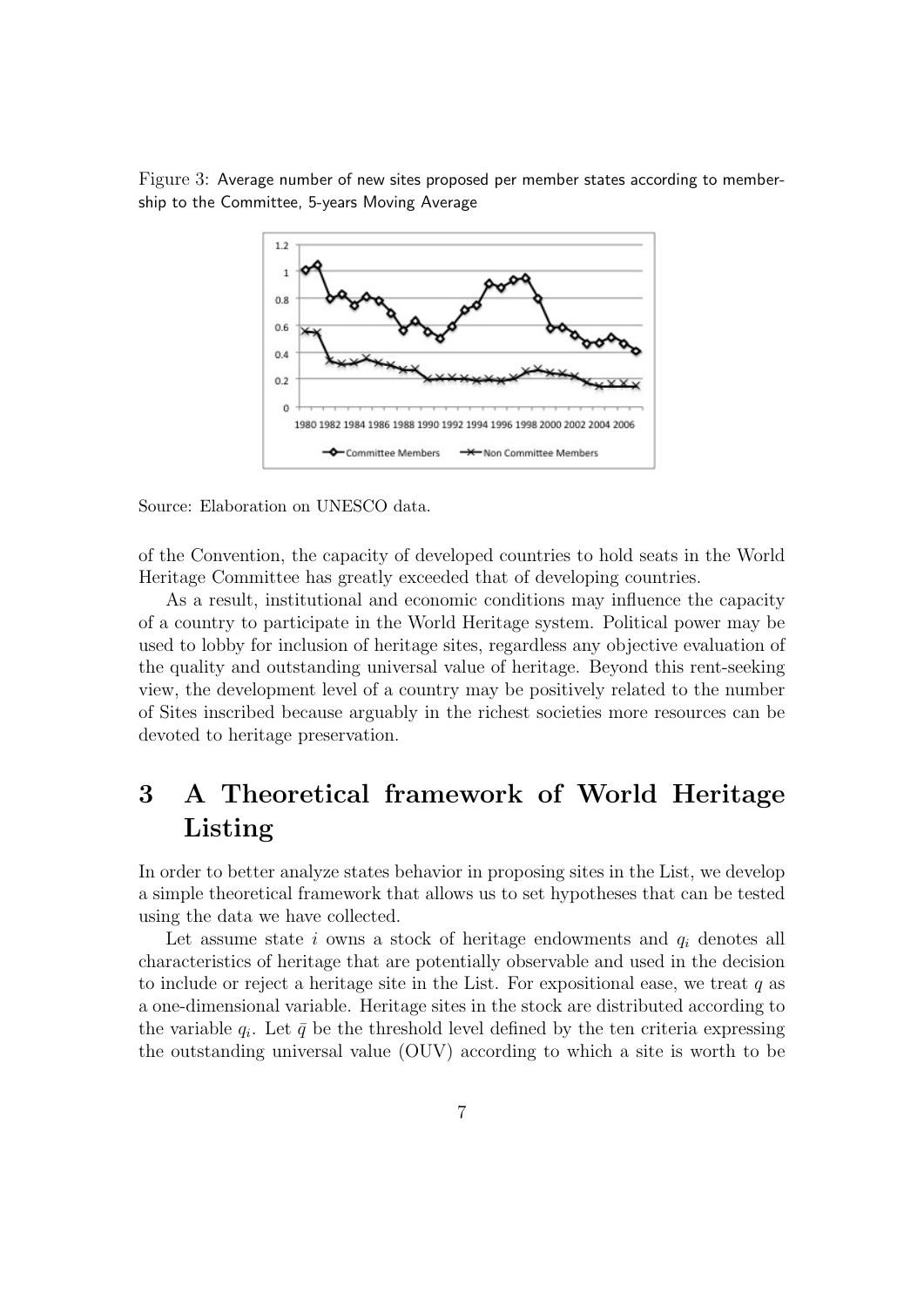Figure 3: Average number of new sites proposed per member states according to membership to the Committee, 5-years Moving Average



Source: Elaboration on UNESCO data.

of the Convention, the capacity of developed countries to hold seats in the World Heritage Committee has greatly exceeded that of developing countries.

As a result, institutional and economic conditions may influence the capacity of a country to participate in the World Heritage system. Political power may be used to lobby for inclusion of heritage sites, regardless any objective evaluation of the quality and outstanding universal value of heritage. Beyond this rent-seeking view, the development level of a country may be positively related to the number of Sites inscribed because arguably in the richest societies more resources can be devoted to heritage preservation.

## 3 A Theoretical framework of World Heritage Listing

In order to better analyze states behavior in proposing sites in the List, we develop a simple theoretical framework that allows us to set hypotheses that can be tested using the data we have collected.

Let assume state  $i$  owns a stock of heritage endowments and  $q_i$  denotes all characteristics of heritage that are potentially observable and used in the decision to include or reject a heritage site in the List. For expositional ease, we treat  $q$  as a one-dimensional variable. Heritage sites in the stock are distributed according to the variable  $q_i$ . Let  $\bar{q}$  be the threshold level defined by the ten criteria expressing the outstanding universal value (OUV) according to which a site is worth to be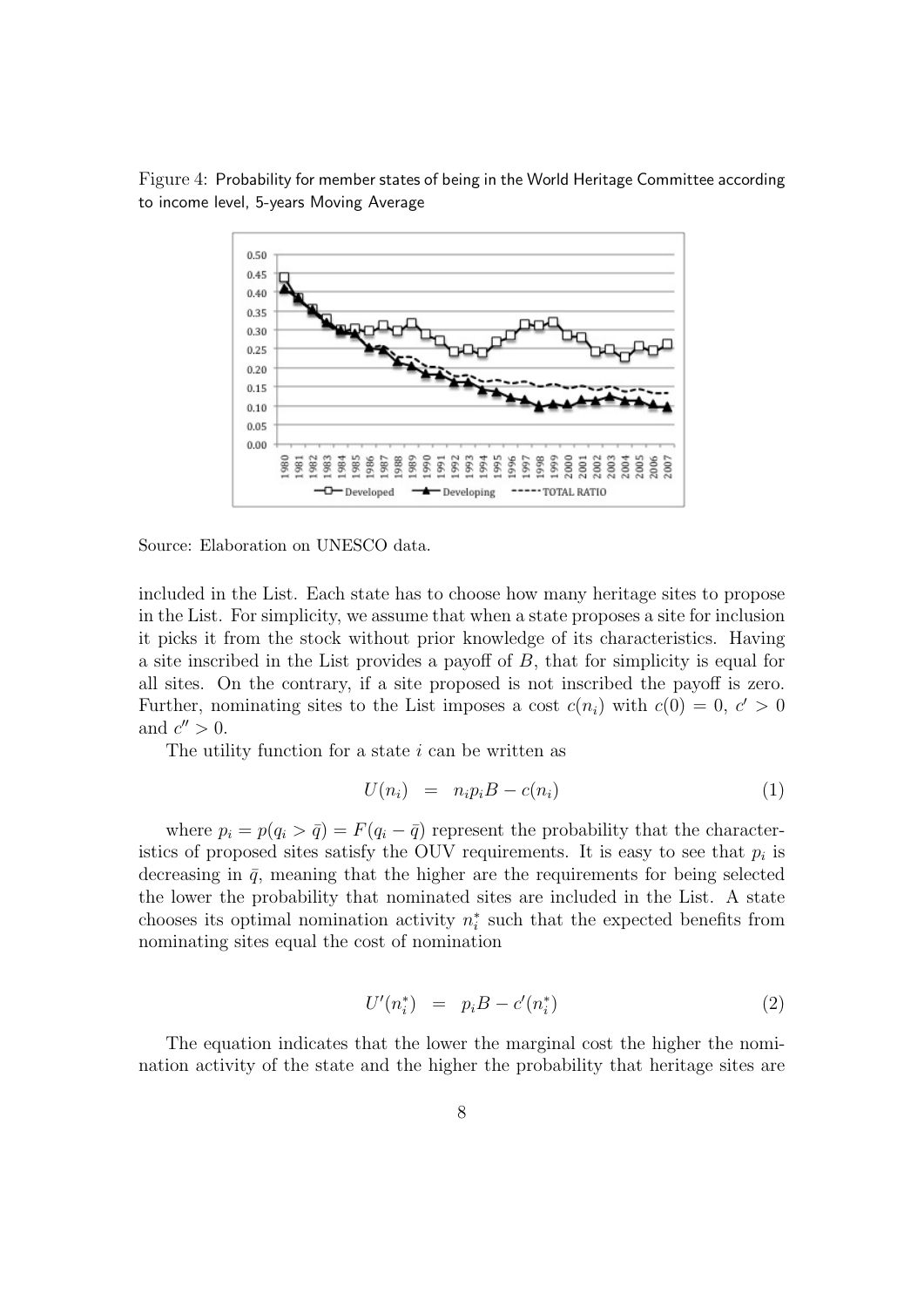Figure 4: Probability for member states of being in the World Heritage Committee according to income level, 5-years Moving Average



Source: Elaboration on UNESCO data.

included in the List. Each state has to choose how many heritage sites to propose in the List. For simplicity, we assume that when a state proposes a site for inclusion it picks it from the stock without prior knowledge of its characteristics. Having a site inscribed in the List provides a payoff of B, that for simplicity is equal for all sites. On the contrary, if a site proposed is not inscribed the payoff is zero. Further, nominating sites to the List imposes a cost  $c(n_i)$  with  $c(0) = 0, c' > 0$ and  $c'' > 0$ .

The utility function for a state  $i$  can be written as

$$
U(n_i) = n_i p_i B - c(n_i) \tag{1}
$$

where  $p_i = p(q_i > \bar{q}) = F(q_i - \bar{q})$  represent the probability that the characteristics of proposed sites satisfy the OUV requirements. It is easy to see that  $p_i$  is decreasing in  $\bar{q}$ , meaning that the higher are the requirements for being selected the lower the probability that nominated sites are included in the List. A state chooses its optimal nomination activity  $n_i^*$  such that the expected benefits from nominating sites equal the cost of nomination

$$
U'(n_i^*) = p_i B - c'(n_i^*)
$$
\n(2)

The equation indicates that the lower the marginal cost the higher the nomination activity of the state and the higher the probability that heritage sites are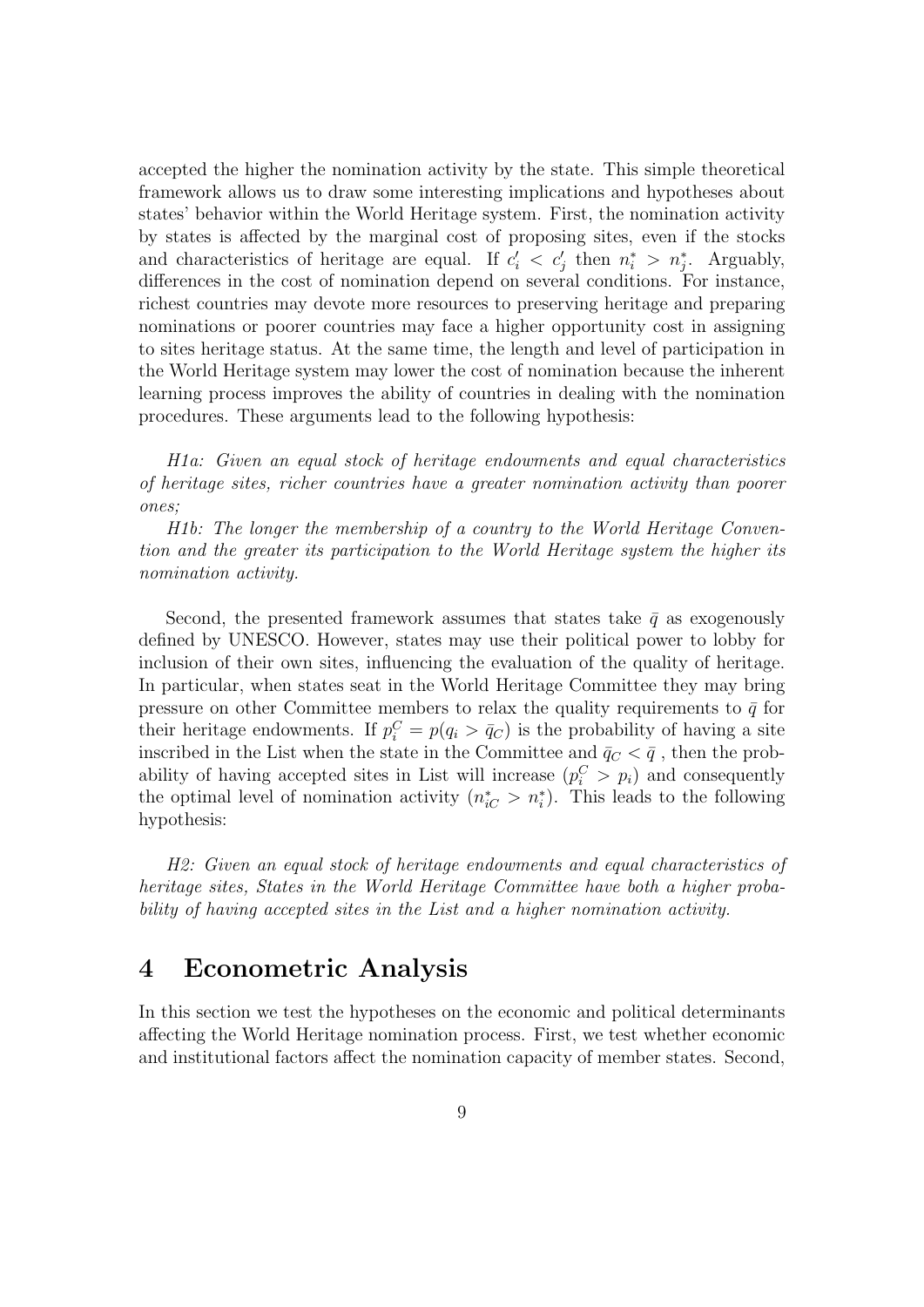accepted the higher the nomination activity by the state. This simple theoretical framework allows us to draw some interesting implications and hypotheses about states' behavior within the World Heritage system. First, the nomination activity by states is affected by the marginal cost of proposing sites, even if the stocks and characteristics of heritage are equal. If  $c_i' < c_j'$  then  $n_i^* > n_j^*$ . Arguably, differences in the cost of nomination depend on several conditions. For instance, richest countries may devote more resources to preserving heritage and preparing nominations or poorer countries may face a higher opportunity cost in assigning to sites heritage status. At the same time, the length and level of participation in the World Heritage system may lower the cost of nomination because the inherent learning process improves the ability of countries in dealing with the nomination procedures. These arguments lead to the following hypothesis:

H1a: Given an equal stock of heritage endowments and equal characteristics of heritage sites, richer countries have a greater nomination activity than poorer ones;

H1b: The longer the membership of a country to the World Heritage Convention and the greater its participation to the World Heritage system the higher its nomination activity.

Second, the presented framework assumes that states take  $\bar{q}$  as exogenously defined by UNESCO. However, states may use their political power to lobby for inclusion of their own sites, influencing the evaluation of the quality of heritage. In particular, when states seat in the World Heritage Committee they may bring pressure on other Committee members to relax the quality requirements to  $\bar{q}$  for their heritage endowments. If  $p_i^C = p(q_i > \bar{q}_C)$  is the probability of having a site inscribed in the List when the state in the Committee and  $\bar{q}_C < \bar{q}$ , then the probability of having accepted sites in List will increase  $(p_i^C > p_i)$  and consequently the optimal level of nomination activity  $(n_{iC}^* > n_i^*)$ . This leads to the following hypothesis:

H2: Given an equal stock of heritage endowments and equal characteristics of heritage sites, States in the World Heritage Committee have both a higher probability of having accepted sites in the List and a higher nomination activity.

### 4 Econometric Analysis

In this section we test the hypotheses on the economic and political determinants affecting the World Heritage nomination process. First, we test whether economic and institutional factors affect the nomination capacity of member states. Second,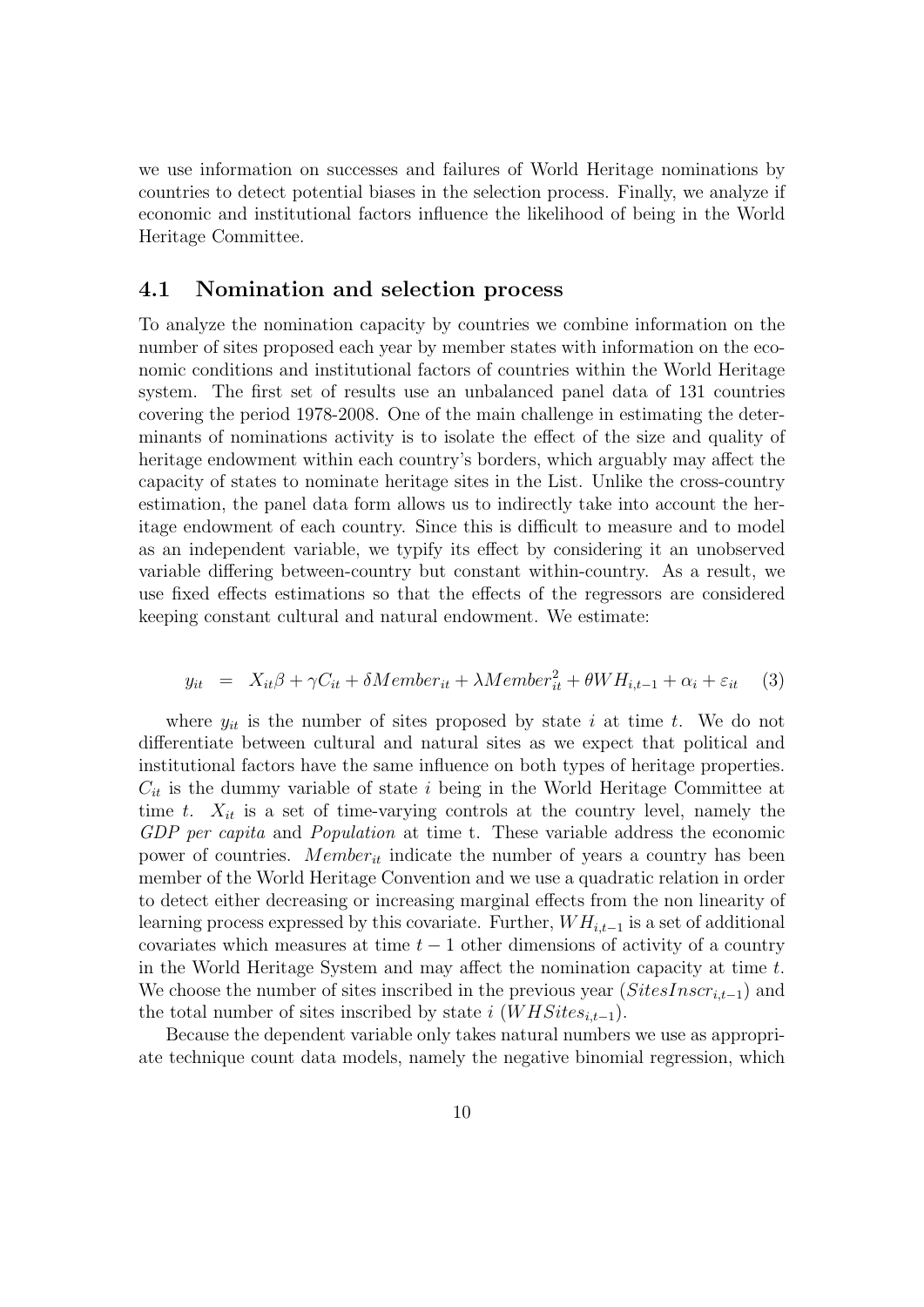we use information on successes and failures of World Heritage nominations by countries to detect potential biases in the selection process. Finally, we analyze if economic and institutional factors influence the likelihood of being in the World Heritage Committee.

#### 4.1 Nomination and selection process

To analyze the nomination capacity by countries we combine information on the number of sites proposed each year by member states with information on the economic conditions and institutional factors of countries within the World Heritage system. The first set of results use an unbalanced panel data of 131 countries covering the period 1978-2008. One of the main challenge in estimating the determinants of nominations activity is to isolate the effect of the size and quality of heritage endowment within each country's borders, which arguably may affect the capacity of states to nominate heritage sites in the List. Unlike the cross-country estimation, the panel data form allows us to indirectly take into account the heritage endowment of each country. Since this is difficult to measure and to model as an independent variable, we typify its effect by considering it an unobserved variable differing between-country but constant within-country. As a result, we use fixed effects estimations so that the effects of the regressors are considered keeping constant cultural and natural endowment. We estimate:

$$
y_{it} = X_{it}\beta + \gamma C_{it} + \delta Member_{it} + \lambda Member_{it}^{2} + \theta WH_{i,t-1} + \alpha_i + \varepsilon_{it}
$$
 (3)

where  $y_{it}$  is the number of sites proposed by state i at time t. We do not differentiate between cultural and natural sites as we expect that political and institutional factors have the same influence on both types of heritage properties.  $C_{it}$  is the dummy variable of state i being in the World Heritage Committee at time t.  $X_{it}$  is a set of time-varying controls at the country level, namely the GDP per capita and Population at time t. These variable address the economic power of countries. Member<sub>it</sub> indicate the number of years a country has been member of the World Heritage Convention and we use a quadratic relation in order to detect either decreasing or increasing marginal effects from the non linearity of learning process expressed by this covariate. Further,  $WH_{i,t-1}$  is a set of additional covariates which measures at time  $t - 1$  other dimensions of activity of a country in the World Heritage System and may affect the nomination capacity at time t. We choose the number of sites inscribed in the previous year  $(SitesInscr_{i,t-1})$  and the total number of sites inscribed by state i  $(WHSites_{i,t-1}).$ 

Because the dependent variable only takes natural numbers we use as appropriate technique count data models, namely the negative binomial regression, which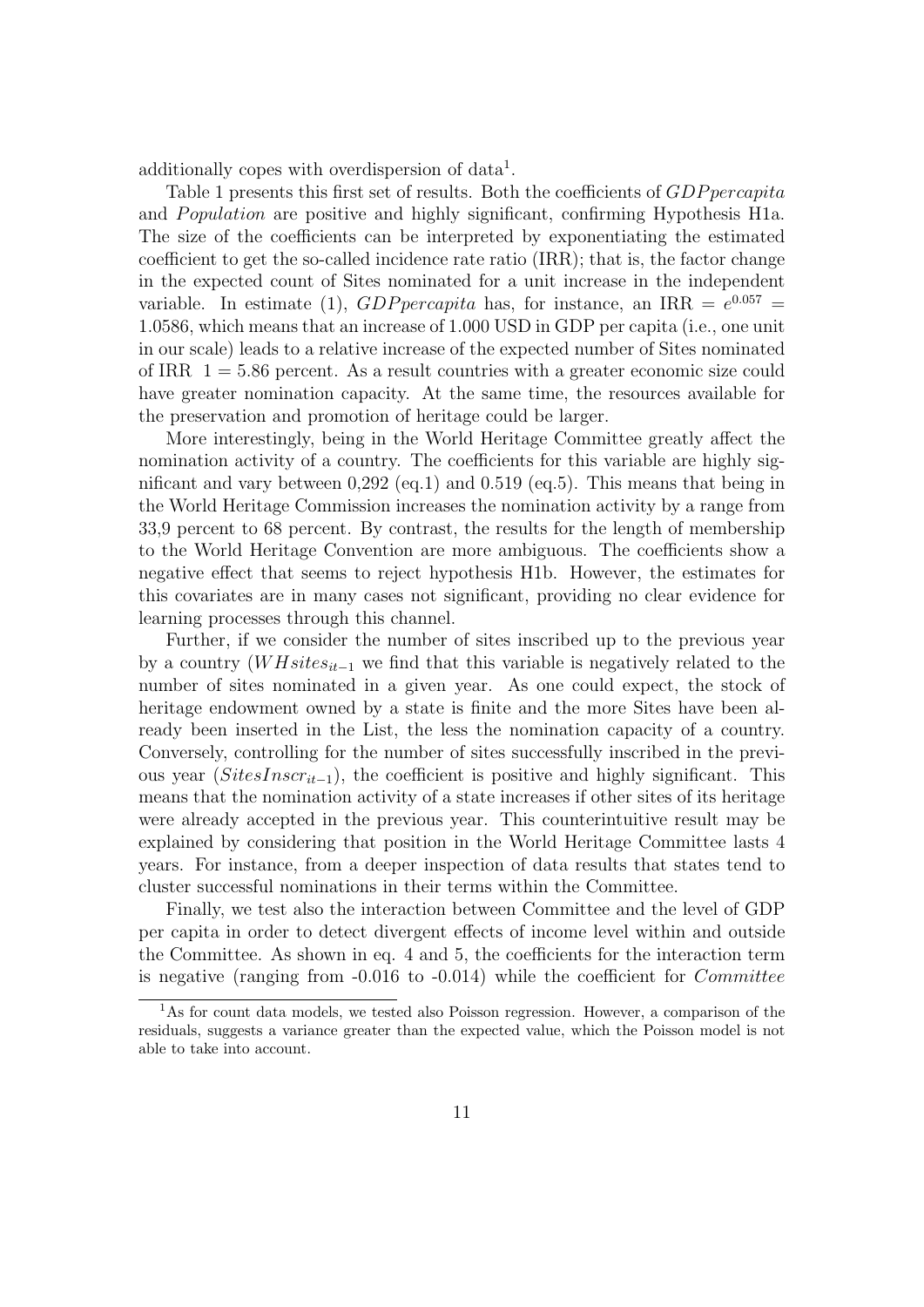additionally copes with overdispersion of data<sup>1</sup>.

Table 1 presents this first set of results. Both the coefficients of GDP percapita and *Population* are positive and highly significant, confirming Hypothesis H1a. The size of the coefficients can be interpreted by exponentiating the estimated coefficient to get the so-called incidence rate ratio (IRR); that is, the factor change in the expected count of Sites nominated for a unit increase in the independent variable. In estimate (1), GDP percapita has, for instance, an IRR =  $e^{0.057}$  = 1.0586, which means that an increase of 1.000 USD in GDP per capita (i.e., one unit in our scale) leads to a relative increase of the expected number of Sites nominated of IRR  $1 = 5.86$  percent. As a result countries with a greater economic size could have greater nomination capacity. At the same time, the resources available for the preservation and promotion of heritage could be larger.

More interestingly, being in the World Heritage Committee greatly affect the nomination activity of a country. The coefficients for this variable are highly significant and vary between 0,292 (eq.1) and 0.519 (eq.5). This means that being in the World Heritage Commission increases the nomination activity by a range from 33,9 percent to 68 percent. By contrast, the results for the length of membership to the World Heritage Convention are more ambiguous. The coefficients show a negative effect that seems to reject hypothesis H1b. However, the estimates for this covariates are in many cases not significant, providing no clear evidence for learning processes through this channel.

Further, if we consider the number of sites inscribed up to the previous year by a country  $(W H sites_{it-1}$  we find that this variable is negatively related to the number of sites nominated in a given year. As one could expect, the stock of heritage endowment owned by a state is finite and the more Sites have been already been inserted in the List, the less the nomination capacity of a country. Conversely, controlling for the number of sites successfully inscribed in the previous year  $(SitesInscr_{it-1})$ , the coefficient is positive and highly significant. This means that the nomination activity of a state increases if other sites of its heritage were already accepted in the previous year. This counterintuitive result may be explained by considering that position in the World Heritage Committee lasts 4 years. For instance, from a deeper inspection of data results that states tend to cluster successful nominations in their terms within the Committee.

Finally, we test also the interaction between Committee and the level of GDP per capita in order to detect divergent effects of income level within and outside the Committee. As shown in eq. 4 and 5, the coefficients for the interaction term is negative (ranging from  $-0.016$  to  $-0.014$ ) while the coefficient for *Committee* 

<sup>&</sup>lt;sup>1</sup>As for count data models, we tested also Poisson regression. However, a comparison of the residuals, suggests a variance greater than the expected value, which the Poisson model is not able to take into account.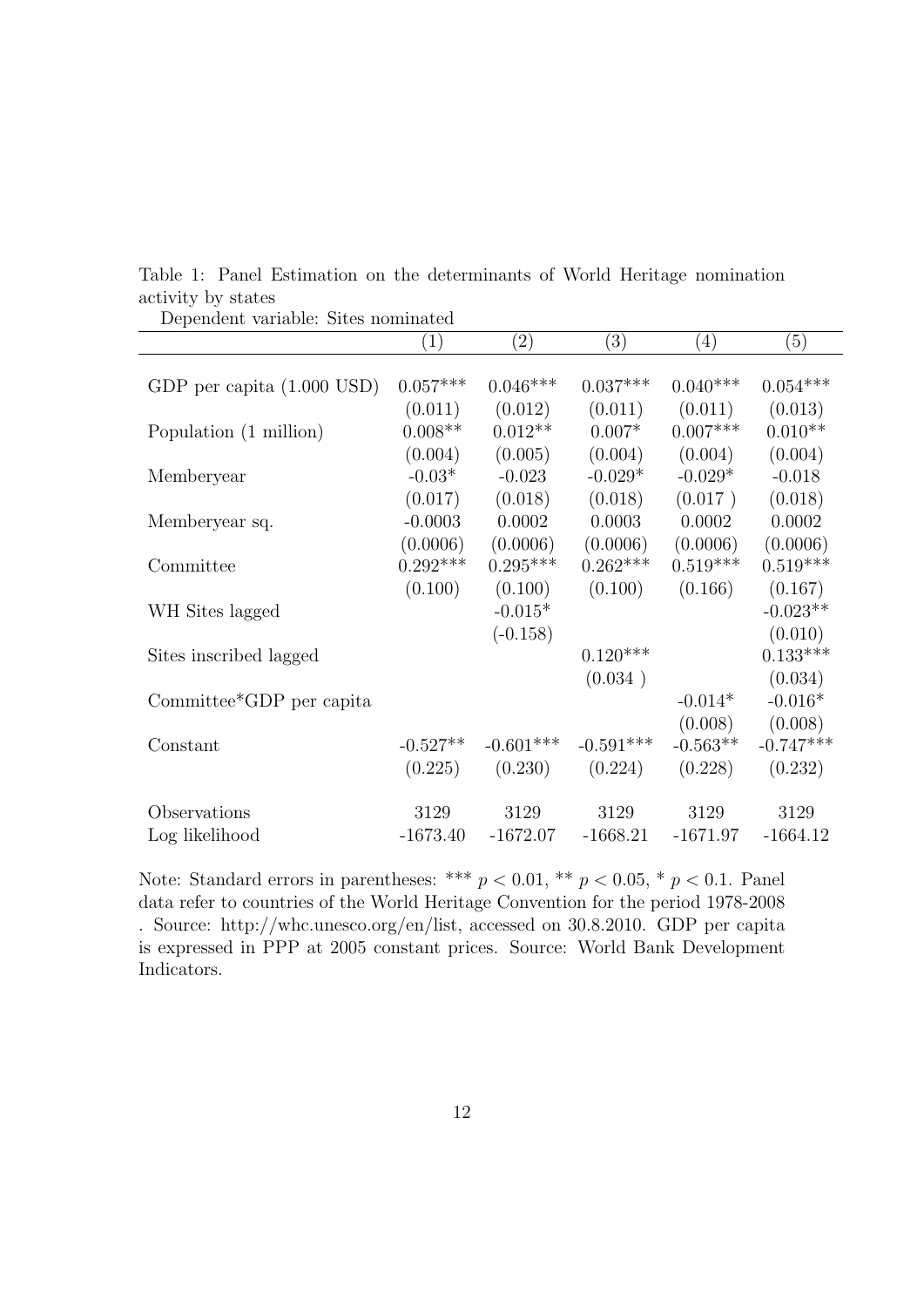| Dependent variable. Dites hominated |                   |             |             |                   |             |
|-------------------------------------|-------------------|-------------|-------------|-------------------|-------------|
|                                     | $\left( 1\right)$ | (2)         | (3)         | $\left( 4\right)$ | (5)         |
|                                     |                   |             |             |                   |             |
| GDP per capita $(1.000$ USD)        | $0.057^{***}\,$   | $0.046***$  | $0.037***$  | $0.040***$        | $0.054***$  |
|                                     | (0.011)           | (0.012)     | (0.011)     | (0.011)           | (0.013)     |
| Population (1 million)              | $0.008**$         | $0.012**$   | $0.007*$    | $0.007***$        | $0.010**$   |
|                                     | (0.004)           | (0.005)     | (0.004)     | (0.004)           | (0.004)     |
| Memberyear                          | $-0.03*$          | $-0.023$    | $-0.029*$   | $-0.029*$         | $-0.018$    |
|                                     | (0.017)           | (0.018)     | (0.018)     | (0.017)           | (0.018)     |
| Memberyear sq.                      | $-0.0003$         | 0.0002      | 0.0003      | 0.0002            | 0.0002      |
|                                     | (0.0006)          | (0.0006)    | (0.0006)    | (0.0006)          | (0.0006)    |
| Committee                           | $0.292***$        | $0.295***$  | $0.262***$  | $0.519***$        | $0.519***$  |
|                                     | (0.100)           | (0.100)     | (0.100)     | (0.166)           | (0.167)     |
| WH Sites lagged                     |                   | $-0.015*$   |             |                   | $-0.023**$  |
|                                     |                   | $(-0.158)$  |             |                   | (0.010)     |
| Sites inscribed lagged              |                   |             | $0.120***$  |                   | $0.133***$  |
|                                     |                   |             | (0.034)     |                   | (0.034)     |
| Committee*GDP per capita            |                   |             |             | $-0.014*$         | $-0.016*$   |
|                                     |                   |             |             | (0.008)           | (0.008)     |
| Constant                            | $-0.527**$        | $-0.601***$ | $-0.591***$ | $-0.563**$        | $-0.747***$ |
|                                     |                   |             |             |                   |             |
|                                     | (0.225)           | (0.230)     | (0.224)     | (0.228)           | (0.232)     |
|                                     |                   |             |             |                   |             |
| Observations                        | 3129              | 3129        | 3129        | 3129              | 3129        |
| Log likelihood                      | $-1673.40$        | $-1672.07$  | $-1668.21$  | $-1671.97$        | $-1664.12$  |

Table 1: Panel Estimation on the determinants of World Heritage nomination activity by states Dependent variable: Sites nominated

Note: Standard errors in parentheses: \*\*\*  $p < 0.01$ , \*\*  $p < 0.05$ , \*  $p < 0.1$ . Panel data refer to countries of the World Heritage Convention for the period 1978-2008 . Source: http://whc.unesco.org/en/list, accessed on 30.8.2010. GDP per capita is expressed in PPP at 2005 constant prices. Source: World Bank Development Indicators.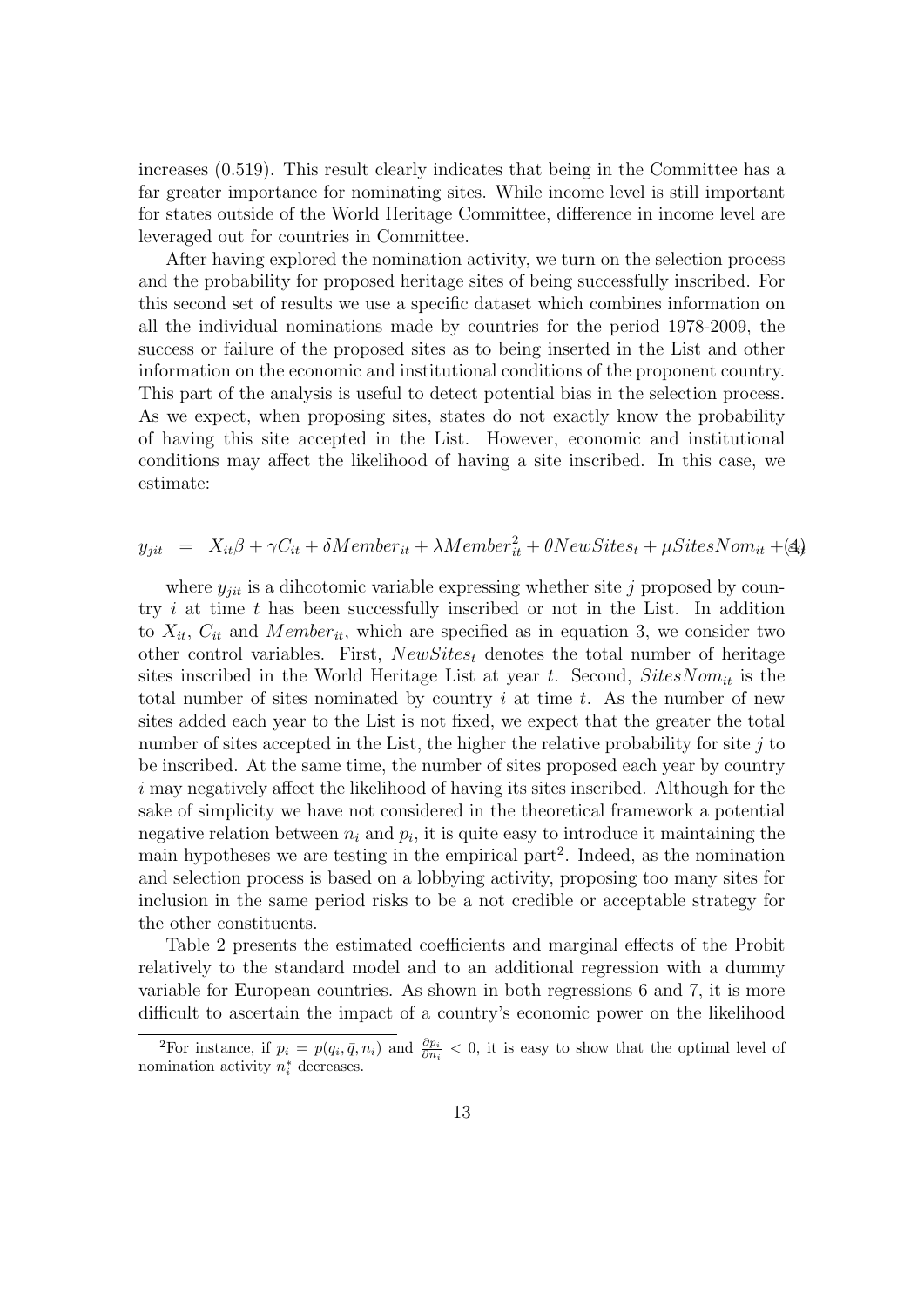increases (0.519). This result clearly indicates that being in the Committee has a far greater importance for nominating sites. While income level is still important for states outside of the World Heritage Committee, difference in income level are leveraged out for countries in Committee.

After having explored the nomination activity, we turn on the selection process and the probability for proposed heritage sites of being successfully inscribed. For this second set of results we use a specific dataset which combines information on all the individual nominations made by countries for the period 1978-2009, the success or failure of the proposed sites as to being inserted in the List and other information on the economic and institutional conditions of the proponent country. This part of the analysis is useful to detect potential bias in the selection process. As we expect, when proposing sites, states do not exactly know the probability of having this site accepted in the List. However, economic and institutional conditions may affect the likelihood of having a site inscribed. In this case, we estimate:

### $y_{jit}$  =  $X_{it}\beta + \gamma C_{it} + \delta Member_{it} + \lambda Member_{it}^2 + \theta NewSttes_t + \mu SitesNon_{it} + (4)$

where  $y_{jit}$  is a dihcotomic variable expressing whether site j proposed by country  $i$  at time  $t$  has been successfully inscribed or not in the List. In addition to  $X_{it}$ ,  $C_{it}$  and Member<sub>it</sub>, which are specified as in equation 3, we consider two other control variables. First,  $NewStes_t$  denotes the total number of heritage sites inscribed in the World Heritage List at year t. Second,  $SitesNom_{it}$  is the total number of sites nominated by country  $i$  at time  $t$ . As the number of new sites added each year to the List is not fixed, we expect that the greater the total number of sites accepted in the List, the higher the relative probability for site  $j$  to be inscribed. At the same time, the number of sites proposed each year by country  $i$  may negatively affect the likelihood of having its sites inscribed. Although for the sake of simplicity we have not considered in the theoretical framework a potential negative relation between  $n_i$  and  $p_i$ , it is quite easy to introduce it maintaining the main hypotheses we are testing in the empirical part<sup>2</sup>. Indeed, as the nomination and selection process is based on a lobbying activity, proposing too many sites for inclusion in the same period risks to be a not credible or acceptable strategy for the other constituents.

Table 2 presents the estimated coefficients and marginal effects of the Probit relatively to the standard model and to an additional regression with a dummy variable for European countries. As shown in both regressions 6 and 7, it is more difficult to ascertain the impact of a country's economic power on the likelihood

<sup>&</sup>lt;sup>2</sup>For instance, if  $p_i = p(q_i, \bar{q}, n_i)$  and  $\frac{\partial p_i}{\partial n_i} < 0$ , it is easy to show that the optimal level of nomination activity  $n_i^*$  decreases.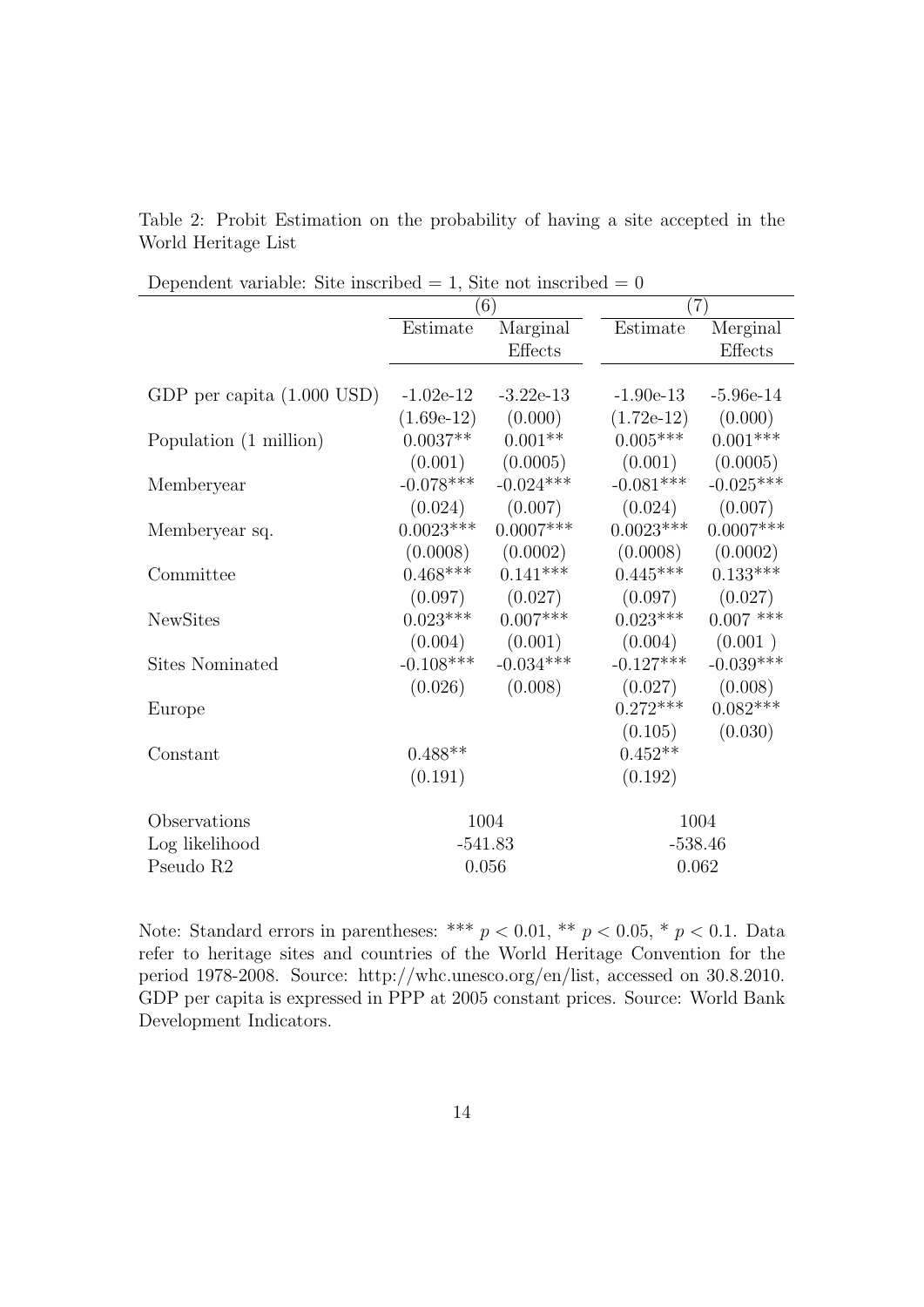Table 2: Probit Estimation on the probability of having a site accepted in the World Heritage List

|                              |              | (6)         |              | (7)         |
|------------------------------|--------------|-------------|--------------|-------------|
|                              | Estimate     | Marginal    | Estimate     | Merginal    |
|                              |              | Effects     |              | Effects     |
|                              |              |             |              |             |
| GDP per capita $(1.000$ USD) | $-1.02e-12$  | $-3.22e-13$ | $-1.90e-13$  | $-5.96e-14$ |
|                              | $(1.69e-12)$ | (0.000)     | $(1.72e-12)$ | (0.000)     |
| Population (1 million)       | $0.0037**$   | $0.001**$   | $0.005***$   | $0.001***$  |
|                              | (0.001)      | (0.0005)    | (0.001)      | (0.0005)    |
| Memberyear                   | $-0.078***$  | $-0.024***$ | $-0.081***$  | $-0.025***$ |
|                              | (0.024)      | (0.007)     | (0.024)      | (0.007)     |
| Memberyear sq.               | $0.0023***$  | $0.0007***$ | $0.0023***$  | $0.0007***$ |
|                              | (0.0008)     | (0.0002)    | (0.0008)     | (0.0002)    |
| Committee                    | $0.468***$   | $0.141***$  | $0.445***$   | $0.133***$  |
|                              | (0.097)      | (0.027)     | (0.097)      | (0.027)     |
| <b>NewSites</b>              | $0.023***$   | $0.007***$  | $0.023***$   | $0.007$ *** |
|                              | (0.004)      | (0.001)     | (0.004)      | (0.001)     |
| Sites Nominated              | $-0.108$ *** | $-0.034***$ | $-0.127***$  | $-0.039***$ |
|                              | (0.026)      | (0.008)     | (0.027)      | (0.008)     |
| Europe                       |              |             | $0.272***$   | $0.082***$  |
|                              |              |             | (0.105)      | (0.030)     |
| Constant                     | $0.488**$    |             | $0.452**$    |             |
|                              | (0.191)      |             | (0.192)      |             |
| Observations                 |              | 1004        |              | 1004        |
| Log likelihood               | $-541.83$    |             | $-538.46$    |             |
| Pseudo R2                    |              | $0.056\,$   |              | 0.062       |

Note: Standard errors in parentheses: \*\*\*  $p < 0.01$ , \*\*  $p < 0.05$ , \*  $p < 0.1$ . Data refer to heritage sites and countries of the World Heritage Convention for the period 1978-2008. Source: http://whc.unesco.org/en/list, accessed on 30.8.2010. GDP per capita is expressed in PPP at 2005 constant prices. Source: World Bank Development Indicators.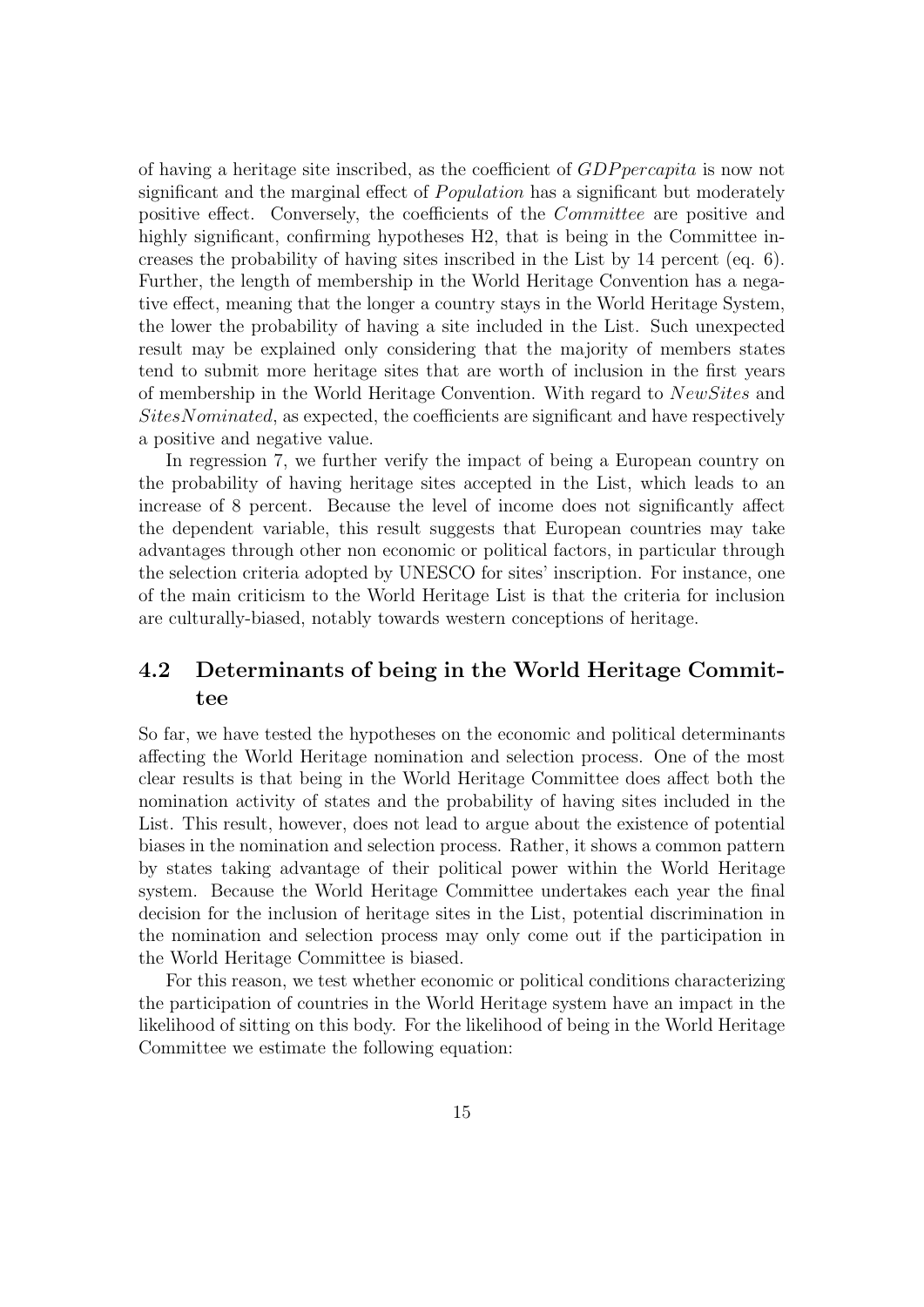of having a heritage site inscribed, as the coefficient of GDP percapita is now not significant and the marginal effect of *Population* has a significant but moderately positive effect. Conversely, the coefficients of the Committee are positive and highly significant, confirming hypotheses H2, that is being in the Committee increases the probability of having sites inscribed in the List by 14 percent (eq. 6). Further, the length of membership in the World Heritage Convention has a negative effect, meaning that the longer a country stays in the World Heritage System, the lower the probability of having a site included in the List. Such unexpected result may be explained only considering that the majority of members states tend to submit more heritage sites that are worth of inclusion in the first years of membership in the World Heritage Convention. With regard to NewSites and SitesNominated, as expected, the coefficients are significant and have respectively a positive and negative value.

In regression 7, we further verify the impact of being a European country on the probability of having heritage sites accepted in the List, which leads to an increase of 8 percent. Because the level of income does not significantly affect the dependent variable, this result suggests that European countries may take advantages through other non economic or political factors, in particular through the selection criteria adopted by UNESCO for sites' inscription. For instance, one of the main criticism to the World Heritage List is that the criteria for inclusion are culturally-biased, notably towards western conceptions of heritage.

### 4.2 Determinants of being in the World Heritage Committee

So far, we have tested the hypotheses on the economic and political determinants affecting the World Heritage nomination and selection process. One of the most clear results is that being in the World Heritage Committee does affect both the nomination activity of states and the probability of having sites included in the List. This result, however, does not lead to argue about the existence of potential biases in the nomination and selection process. Rather, it shows a common pattern by states taking advantage of their political power within the World Heritage system. Because the World Heritage Committee undertakes each year the final decision for the inclusion of heritage sites in the List, potential discrimination in the nomination and selection process may only come out if the participation in the World Heritage Committee is biased.

For this reason, we test whether economic or political conditions characterizing the participation of countries in the World Heritage system have an impact in the likelihood of sitting on this body. For the likelihood of being in the World Heritage Committee we estimate the following equation: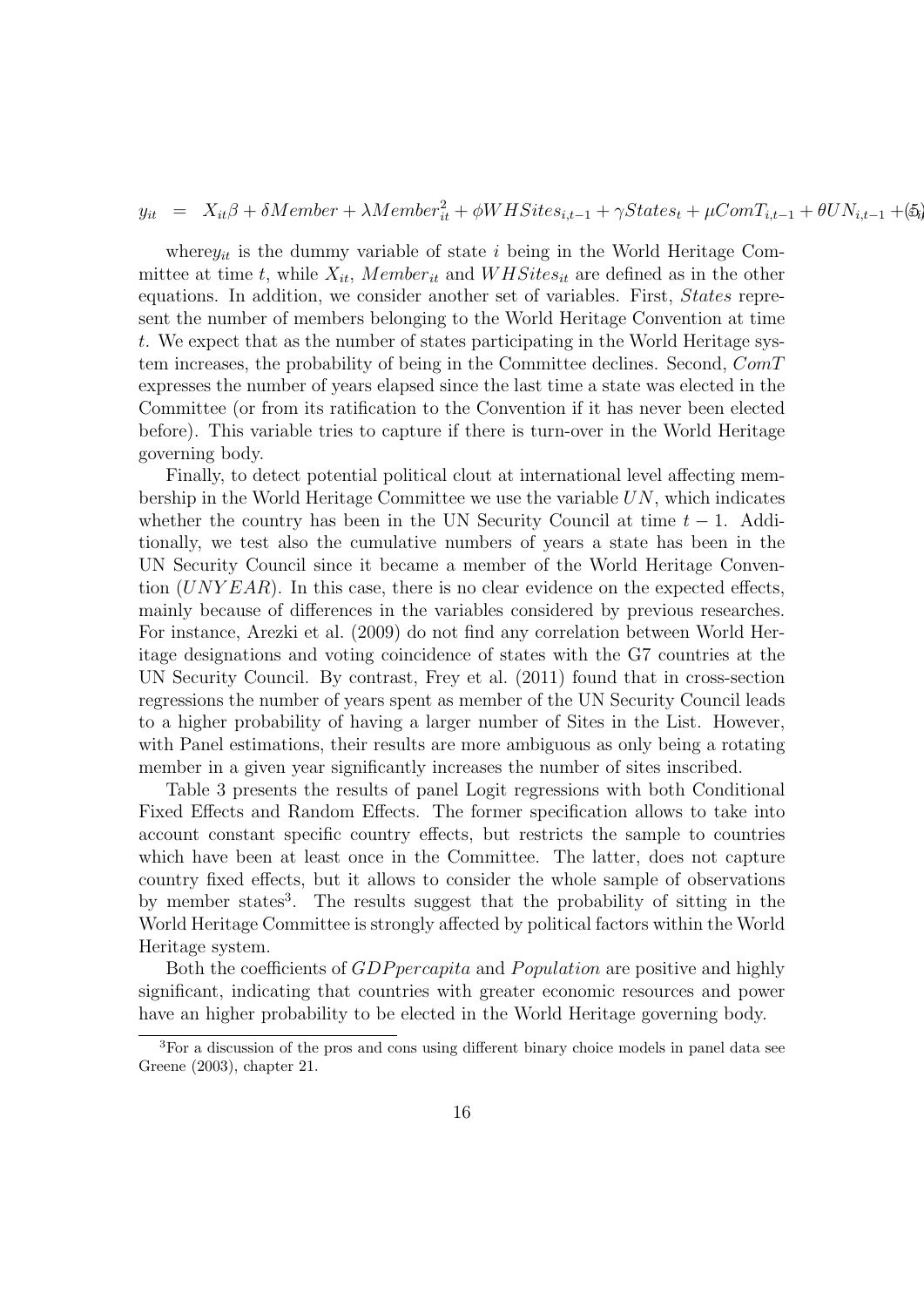$y_{it}$  =  $X_{it}\beta + \delta Member + \lambda Member_{it}^2 + \phi WHSites_{i,t-1} + \gamma States_t + \mu ComT_{i,t-1} + \theta UN_{i,t-1} + (\delta_t)$ 

where  $y_{it}$  is the dummy variable of state i being in the World Heritage Committee at time t, while  $X_{it}$ , Member<sub>it</sub> and WHSites<sub>it</sub> are defined as in the other equations. In addition, we consider another set of variables. First, States represent the number of members belonging to the World Heritage Convention at time t. We expect that as the number of states participating in the World Heritage system increases, the probability of being in the Committee declines. Second, ComT expresses the number of years elapsed since the last time a state was elected in the Committee (or from its ratification to the Convention if it has never been elected before). This variable tries to capture if there is turn-over in the World Heritage governing body.

Finally, to detect potential political clout at international level affecting membership in the World Heritage Committee we use the variable  $UN$ , which indicates whether the country has been in the UN Security Council at time  $t - 1$ . Additionally, we test also the cumulative numbers of years a state has been in the UN Security Council since it became a member of the World Heritage Convention  $(UNYEAR)$ . In this case, there is no clear evidence on the expected effects, mainly because of differences in the variables considered by previous researches. For instance, Arezki et al. (2009) do not find any correlation between World Heritage designations and voting coincidence of states with the G7 countries at the UN Security Council. By contrast, Frey et al. (2011) found that in cross-section regressions the number of years spent as member of the UN Security Council leads to a higher probability of having a larger number of Sites in the List. However, with Panel estimations, their results are more ambiguous as only being a rotating member in a given year significantly increases the number of sites inscribed.

Table 3 presents the results of panel Logit regressions with both Conditional Fixed Effects and Random Effects. The former specification allows to take into account constant specific country effects, but restricts the sample to countries which have been at least once in the Committee. The latter, does not capture country fixed effects, but it allows to consider the whole sample of observations by member states<sup>3</sup>. The results suggest that the probability of sitting in the World Heritage Committee is strongly affected by political factors within the World Heritage system.

Both the coefficients of *GDP* percapita and *P* opulation are positive and highly significant, indicating that countries with greater economic resources and power have an higher probability to be elected in the World Heritage governing body.

<sup>3</sup>For a discussion of the pros and cons using different binary choice models in panel data see Greene (2003), chapter 21.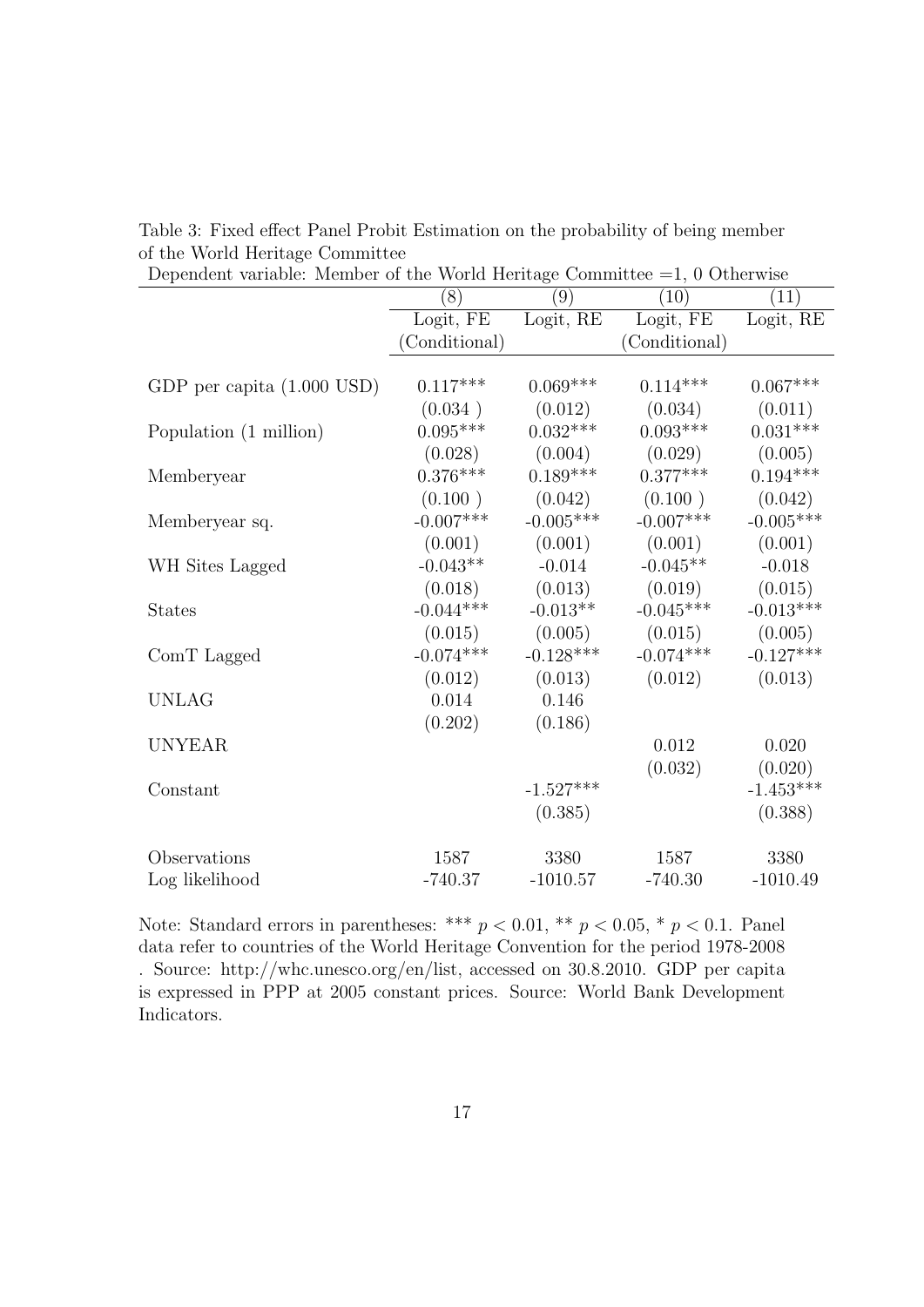| Dependent variable. Member of the World Hernage Committee |               |             |               |             |
|-----------------------------------------------------------|---------------|-------------|---------------|-------------|
|                                                           | (8)           | (9)         | (10)          | (11)        |
|                                                           | Logit, FE     | Logit, RE   | Logit, FE     | Logit, RE   |
|                                                           | (Conditional) |             | (Conditional) |             |
|                                                           |               |             |               |             |
| GDP per capita $(1.000$ USD)                              | $0.117***$    | $0.069***$  | $0.114***$    | $0.067***$  |
|                                                           | (0.034)       | (0.012)     | (0.034)       | (0.011)     |
| Population (1 million)                                    | $0.095***$    | $0.032***$  | $0.093***$    | $0.031***$  |
|                                                           | (0.028)       | (0.004)     | (0.029)       | (0.005)     |
| Memberyear                                                | $0.376***$    | $0.189***$  | $0.377***$    | $0.194***$  |
|                                                           | (0.100)       | (0.042)     | (0.100)       | (0.042)     |
| Memberyear sq.                                            | $-0.007***$   | $-0.005***$ | $-0.007***$   | $-0.005***$ |
|                                                           | (0.001)       | (0.001)     | (0.001)       | (0.001)     |
| WH Sites Lagged                                           | $-0.043**$    | $-0.014$    | $-0.045**$    | $-0.018$    |
|                                                           | (0.018)       | (0.013)     | (0.019)       | (0.015)     |
| <b>States</b>                                             | $-0.044***$   | $-0.013**$  | $-0.045***$   | $-0.013***$ |
|                                                           | (0.015)       | (0.005)     | (0.015)       | (0.005)     |
| ComT Lagged                                               | $-0.074***$   | $-0.128***$ | $-0.074***$   | $-0.127***$ |
|                                                           | (0.012)       | (0.013)     | (0.012)       | (0.013)     |
| <b>UNLAG</b>                                              | 0.014         | 0.146       |               |             |
|                                                           | (0.202)       | (0.186)     |               |             |
| <b>UNYEAR</b>                                             |               |             | 0.012         | 0.020       |
|                                                           |               |             | (0.032)       | (0.020)     |
| Constant                                                  |               | $-1.527***$ |               | $-1.453***$ |
|                                                           |               | (0.385)     |               | (0.388)     |
|                                                           |               |             |               |             |
| Observations                                              | 1587          | 3380        | 1587          | 3380        |
| Log likelihood                                            | $-740.37$     | $-1010.57$  | $-740.30$     | $-1010.49$  |

Table 3: Fixed effect Panel Probit Estimation on the probability of being member of the World Heritage Committee

| Dependent variable: Member of the World Heritage Committee $=1, 0$ Otherwise |
|------------------------------------------------------------------------------|
|------------------------------------------------------------------------------|

Note: Standard errors in parentheses: \*\*\*  $p < 0.01$ , \*\*  $p < 0.05$ , \*  $p < 0.1$ . Panel data refer to countries of the World Heritage Convention for the period 1978-2008 . Source: http://whc.unesco.org/en/list, accessed on 30.8.2010. GDP per capita is expressed in PPP at 2005 constant prices. Source: World Bank Development Indicators.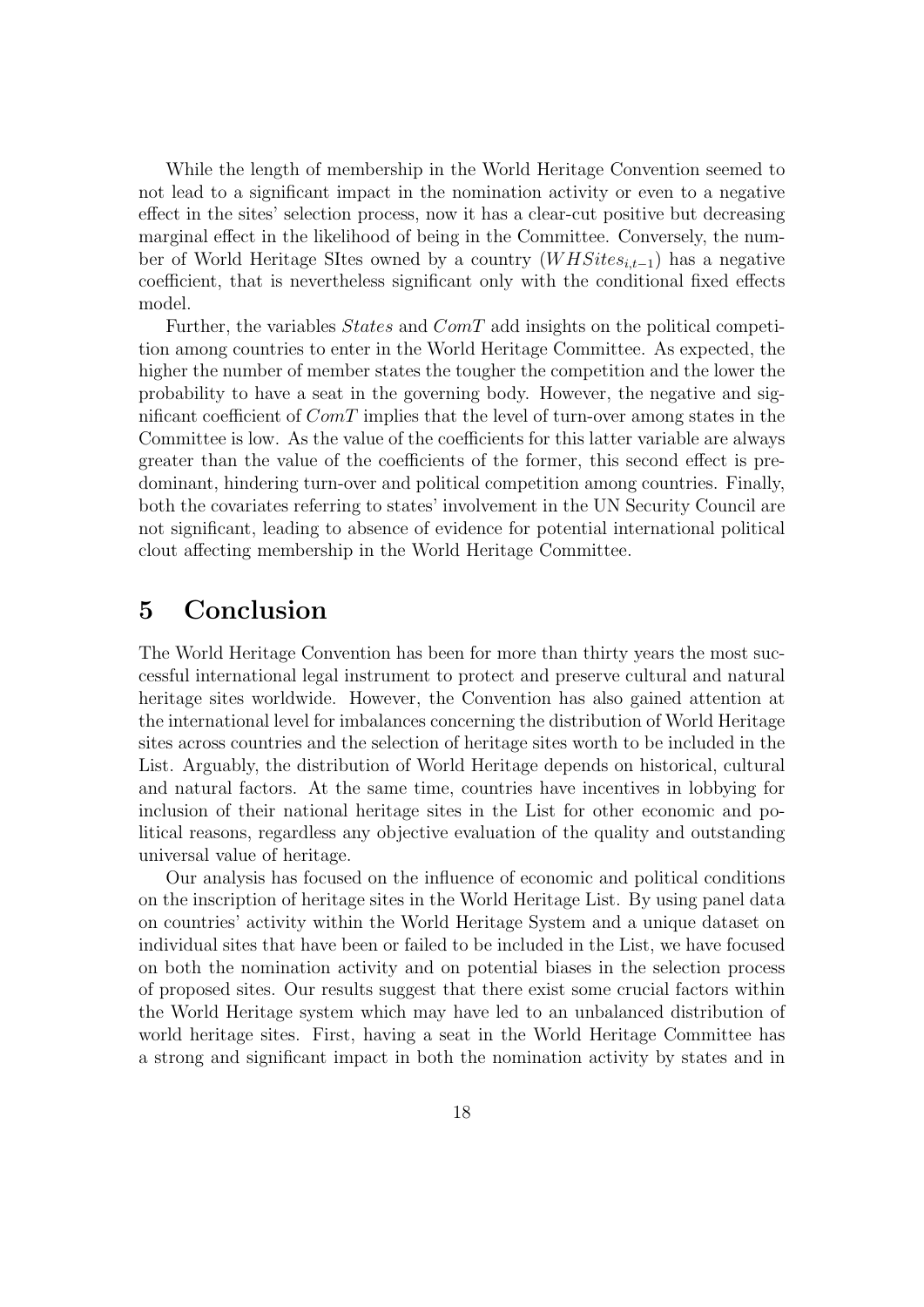While the length of membership in the World Heritage Convention seemed to not lead to a significant impact in the nomination activity or even to a negative effect in the sites' selection process, now it has a clear-cut positive but decreasing marginal effect in the likelihood of being in the Committee. Conversely, the number of World Heritage SItes owned by a country  $(WHSites_{i,t-1})$  has a negative coefficient, that is nevertheless significant only with the conditional fixed effects model.

Further, the variables *States* and *ComT* add insights on the political competition among countries to enter in the World Heritage Committee. As expected, the higher the number of member states the tougher the competition and the lower the probability to have a seat in the governing body. However, the negative and significant coefficient of  $ComT$  implies that the level of turn-over among states in the Committee is low. As the value of the coefficients for this latter variable are always greater than the value of the coefficients of the former, this second effect is predominant, hindering turn-over and political competition among countries. Finally, both the covariates referring to states' involvement in the UN Security Council are not significant, leading to absence of evidence for potential international political clout affecting membership in the World Heritage Committee.

### 5 Conclusion

The World Heritage Convention has been for more than thirty years the most successful international legal instrument to protect and preserve cultural and natural heritage sites worldwide. However, the Convention has also gained attention at the international level for imbalances concerning the distribution of World Heritage sites across countries and the selection of heritage sites worth to be included in the List. Arguably, the distribution of World Heritage depends on historical, cultural and natural factors. At the same time, countries have incentives in lobbying for inclusion of their national heritage sites in the List for other economic and political reasons, regardless any objective evaluation of the quality and outstanding universal value of heritage.

Our analysis has focused on the influence of economic and political conditions on the inscription of heritage sites in the World Heritage List. By using panel data on countries' activity within the World Heritage System and a unique dataset on individual sites that have been or failed to be included in the List, we have focused on both the nomination activity and on potential biases in the selection process of proposed sites. Our results suggest that there exist some crucial factors within the World Heritage system which may have led to an unbalanced distribution of world heritage sites. First, having a seat in the World Heritage Committee has a strong and significant impact in both the nomination activity by states and in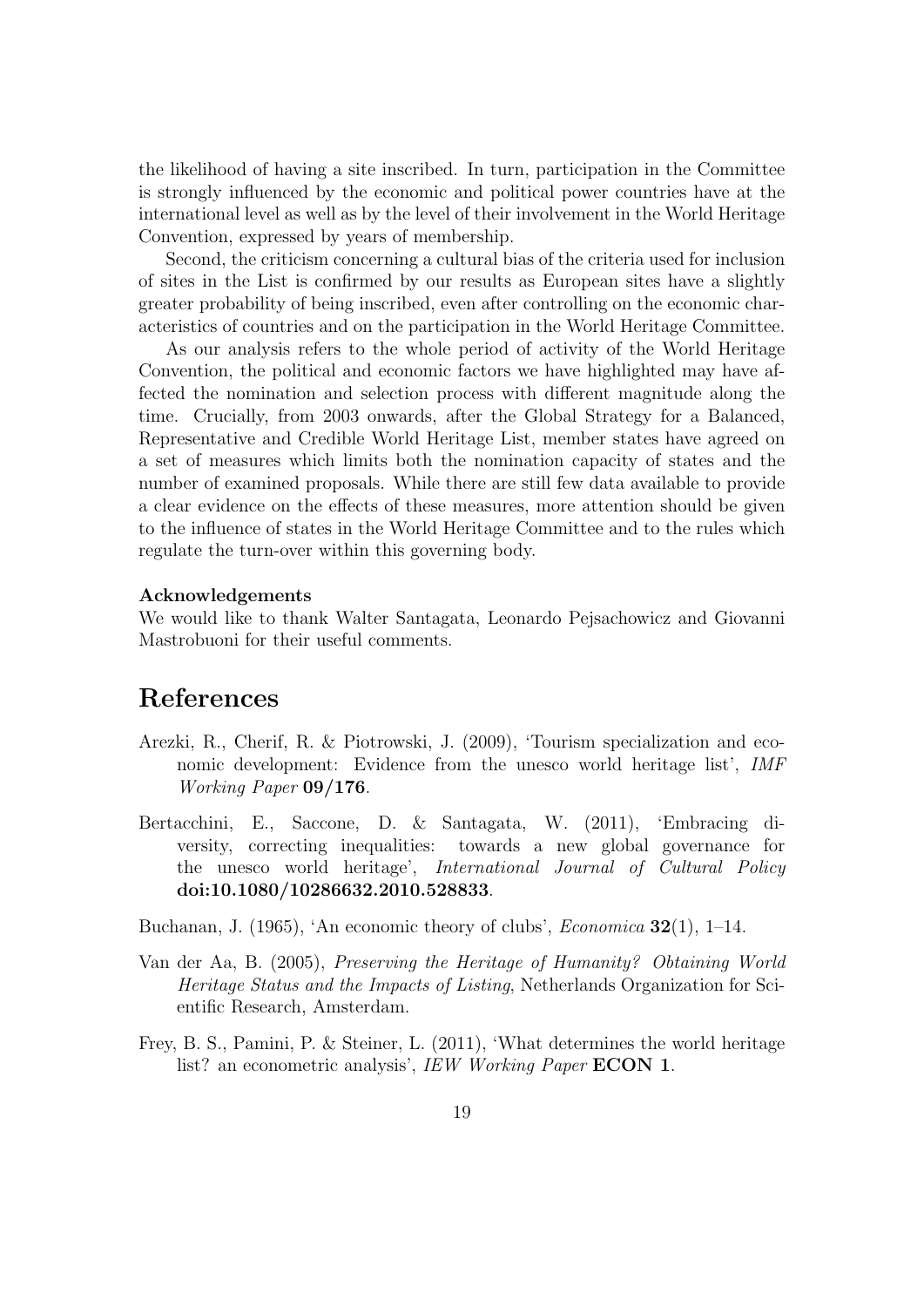the likelihood of having a site inscribed. In turn, participation in the Committee is strongly influenced by the economic and political power countries have at the international level as well as by the level of their involvement in the World Heritage Convention, expressed by years of membership.

Second, the criticism concerning a cultural bias of the criteria used for inclusion of sites in the List is confirmed by our results as European sites have a slightly greater probability of being inscribed, even after controlling on the economic characteristics of countries and on the participation in the World Heritage Committee.

As our analysis refers to the whole period of activity of the World Heritage Convention, the political and economic factors we have highlighted may have affected the nomination and selection process with different magnitude along the time. Crucially, from 2003 onwards, after the Global Strategy for a Balanced, Representative and Credible World Heritage List, member states have agreed on a set of measures which limits both the nomination capacity of states and the number of examined proposals. While there are still few data available to provide a clear evidence on the effects of these measures, more attention should be given to the influence of states in the World Heritage Committee and to the rules which regulate the turn-over within this governing body.

#### Acknowledgements

We would like to thank Walter Santagata, Leonardo Pejsachowicz and Giovanni Mastrobuoni for their useful comments.

## References

- Arezki, R., Cherif, R. & Piotrowski, J. (2009), 'Tourism specialization and economic development: Evidence from the unesco world heritage list', IMF Working Paper 09/176.
- Bertacchini, E., Saccone, D. & Santagata, W. (2011), 'Embracing diversity, correcting inequalities: towards a new global governance for the unesco world heritage', International Journal of Cultural Policy doi:10.1080/10286632.2010.528833.
- Buchanan, J.  $(1965)$ , 'An economic theory of clubs', *Economica* **32**(1), 1–14.
- Van der Aa, B. (2005), Preserving the Heritage of Humanity? Obtaining World Heritage Status and the Impacts of Listing, Netherlands Organization for Scientific Research, Amsterdam.
- Frey, B. S., Pamini, P. & Steiner, L. (2011), 'What determines the world heritage list? an econometric analysis', IEW Working Paper **ECON 1**.